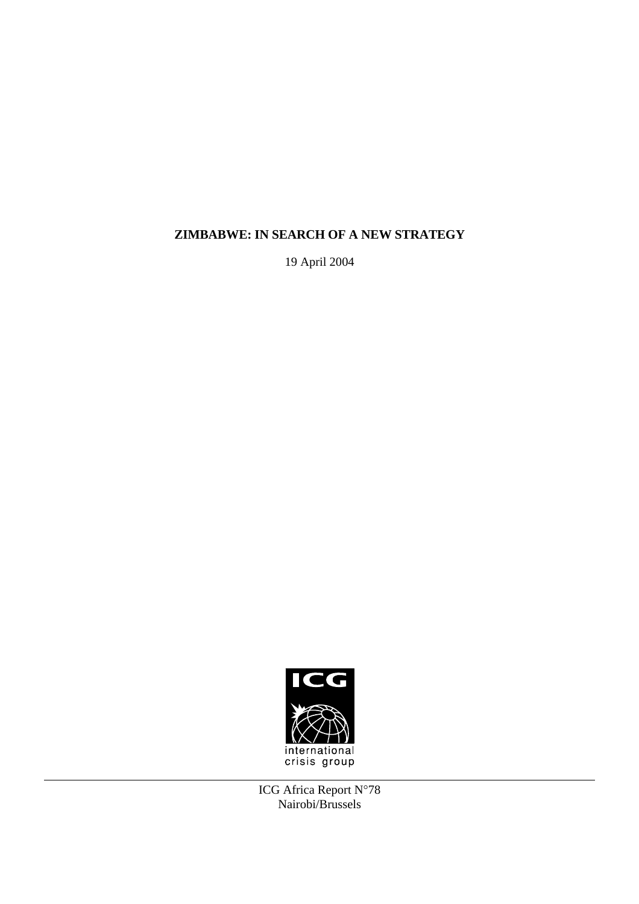# **ZIMBABWE: IN SEARCH OF A NEW STRATEGY**

19 April 2004



ICG Africa Report N°78 Nairobi/Brussels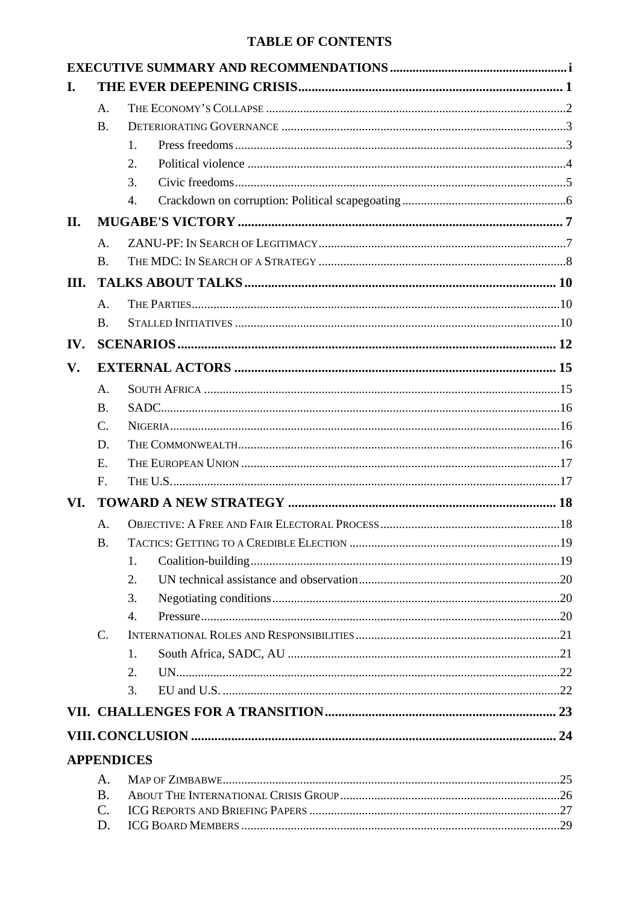# **TABLE OF CONTENTS**

| I.                |                    |                |  |  |  |
|-------------------|--------------------|----------------|--|--|--|
|                   | A.                 |                |  |  |  |
|                   | <b>B.</b>          |                |  |  |  |
|                   |                    | $\mathbf{1}$ . |  |  |  |
|                   |                    | 2.             |  |  |  |
|                   |                    | 3.             |  |  |  |
|                   |                    | 4.             |  |  |  |
| II.               |                    |                |  |  |  |
|                   | $\mathsf{A}$ .     |                |  |  |  |
|                   | <b>B.</b>          |                |  |  |  |
| III.              |                    |                |  |  |  |
|                   | A.                 |                |  |  |  |
|                   | <b>B.</b>          |                |  |  |  |
| IV.               |                    |                |  |  |  |
|                   |                    |                |  |  |  |
| $V_{\bullet}$     |                    |                |  |  |  |
|                   | A.                 |                |  |  |  |
|                   | <b>B.</b>          |                |  |  |  |
|                   | $\mathcal{C}$ .    |                |  |  |  |
|                   | D.                 |                |  |  |  |
|                   | $E_{\rm{L}}$<br>F. |                |  |  |  |
|                   |                    |                |  |  |  |
| VI.               |                    |                |  |  |  |
|                   | A.                 |                |  |  |  |
|                   | <b>B.</b>          |                |  |  |  |
|                   |                    | 1.             |  |  |  |
|                   |                    | 2.             |  |  |  |
|                   |                    | 3.             |  |  |  |
|                   | $\mathbf{C}$ .     | 4.             |  |  |  |
|                   |                    | 1.             |  |  |  |
|                   |                    | 2.             |  |  |  |
|                   |                    | 3.             |  |  |  |
|                   |                    |                |  |  |  |
|                   |                    |                |  |  |  |
|                   |                    |                |  |  |  |
| <b>APPENDICES</b> |                    |                |  |  |  |
|                   | A.                 |                |  |  |  |
|                   | <b>B.</b>          |                |  |  |  |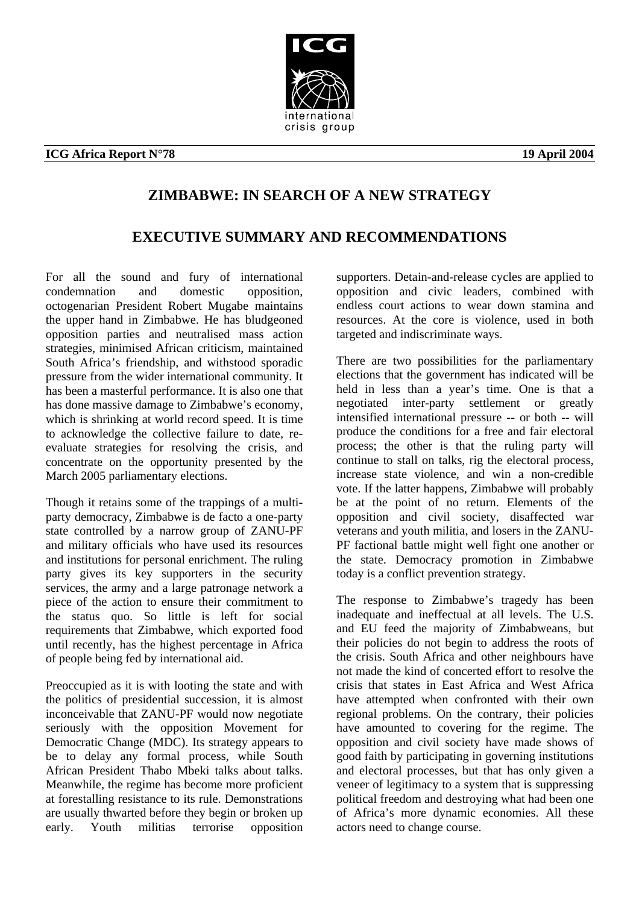

# **ICG Africa Report N°78** 19 April 2004

# **ZIMBABWE: IN SEARCH OF A NEW STRATEGY**

# **EXECUTIVE SUMMARY AND RECOMMENDATIONS**

For all the sound and fury of international condemnation and domestic opposition, octogenarian President Robert Mugabe maintains the upper hand in Zimbabwe. He has bludgeoned opposition parties and neutralised mass action strategies, minimised African criticism, maintained South Africa's friendship, and withstood sporadic pressure from the wider international community. It has been a masterful performance. It is also one that has done massive damage to Zimbabwe's economy, which is shrinking at world record speed. It is time to acknowledge the collective failure to date, reevaluate strategies for resolving the crisis, and concentrate on the opportunity presented by the March 2005 parliamentary elections.

Though it retains some of the trappings of a multiparty democracy, Zimbabwe is de facto a one-party state controlled by a narrow group of ZANU-PF and military officials who have used its resources and institutions for personal enrichment. The ruling party gives its key supporters in the security services, the army and a large patronage network a piece of the action to ensure their commitment to the status quo. So little is left for social requirements that Zimbabwe, which exported food until recently, has the highest percentage in Africa of people being fed by international aid.

Preoccupied as it is with looting the state and with the politics of presidential succession, it is almost inconceivable that ZANU-PF would now negotiate seriously with the opposition Movement for Democratic Change (MDC). Its strategy appears to be to delay any formal process, while South African President Thabo Mbeki talks about talks. Meanwhile, the regime has become more proficient at forestalling resistance to its rule. Demonstrations are usually thwarted before they begin or broken up early. Youth militias terrorise opposition supporters. Detain-and-release cycles are applied to opposition and civic leaders, combined with endless court actions to wear down stamina and resources. At the core is violence, used in both targeted and indiscriminate ways.

There are two possibilities for the parliamentary elections that the government has indicated will be held in less than a year's time. One is that a negotiated inter-party settlement or greatly intensified international pressure -- or both -- will produce the conditions for a free and fair electoral process; the other is that the ruling party will continue to stall on talks, rig the electoral process, increase state violence, and win a non-credible vote. If the latter happens, Zimbabwe will probably be at the point of no return. Elements of the opposition and civil society, disaffected war veterans and youth militia, and losers in the ZANU-PF factional battle might well fight one another or the state. Democracy promotion in Zimbabwe today is a conflict prevention strategy.

The response to Zimbabwe's tragedy has been inadequate and ineffectual at all levels. The U.S. and EU feed the majority of Zimbabweans, but their policies do not begin to address the roots of the crisis. South Africa and other neighbours have not made the kind of concerted effort to resolve the crisis that states in East Africa and West Africa have attempted when confronted with their own regional problems. On the contrary, their policies have amounted to covering for the regime. The opposition and civil society have made shows of good faith by participating in governing institutions and electoral processes, but that has only given a veneer of legitimacy to a system that is suppressing political freedom and destroying what had been one of Africa's more dynamic economies. All these actors need to change course.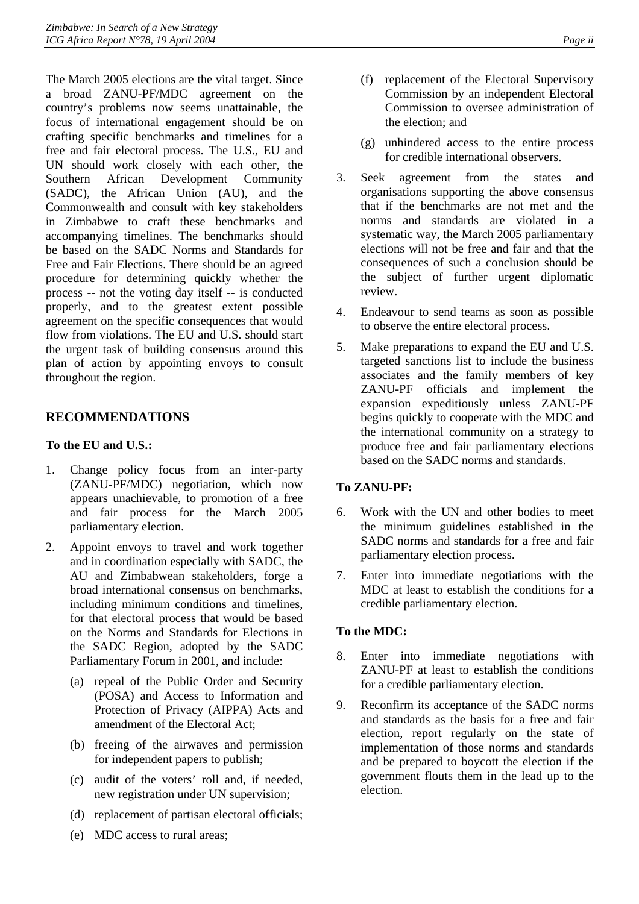The March 2005 elections are the vital target. Since a broad ZANU-PF/MDC agreement on the country's problems now seems unattainable, the focus of international engagement should be on crafting specific benchmarks and timelines for a free and fair electoral process. The U.S., EU and UN should work closely with each other, the Southern African Development Community (SADC), the African Union (AU), and the Commonwealth and consult with key stakeholders in Zimbabwe to craft these benchmarks and accompanying timelines. The benchmarks should be based on the SADC Norms and Standards for Free and Fair Elections. There should be an agreed procedure for determining quickly whether the process -- not the voting day itself -- is conducted properly, and to the greatest extent possible agreement on the specific consequences that would flow from violations. The EU and U.S. should start the urgent task of building consensus around this plan of action by appointing envoys to consult throughout the region.

# **RECOMMENDATIONS**

# **To the EU and U.S.:**

- 1. Change policy focus from an inter-party (ZANU-PF/MDC) negotiation, which now appears unachievable, to promotion of a free and fair process for the March 2005 parliamentary election.
- 2. Appoint envoys to travel and work together and in coordination especially with SADC, the AU and Zimbabwean stakeholders, forge a broad international consensus on benchmarks, including minimum conditions and timelines, for that electoral process that would be based on the Norms and Standards for Elections in the SADC Region, adopted by the SADC Parliamentary Forum in 2001, and include:
	- (a) repeal of the Public Order and Security (POSA) and Access to Information and Protection of Privacy (AIPPA) Acts and amendment of the Electoral Act;
	- (b) freeing of the airwaves and permission for independent papers to publish;
	- (c) audit of the voters' roll and, if needed, new registration under UN supervision;
	- (d) replacement of partisan electoral officials;
- (f) replacement of the Electoral Supervisory Commission by an independent Electoral Commission to oversee administration of the election; and
- (g) unhindered access to the entire process for credible international observers.
- 3. Seek agreement from the states and organisations supporting the above consensus that if the benchmarks are not met and the norms and standards are violated in a systematic way, the March 2005 parliamentary elections will not be free and fair and that the consequences of such a conclusion should be the subject of further urgent diplomatic review.
- 4. Endeavour to send teams as soon as possible to observe the entire electoral process.
- 5. Make preparations to expand the EU and U.S. targeted sanctions list to include the business associates and the family members of key ZANU-PF officials and implement the expansion expeditiously unless ZANU-PF begins quickly to cooperate with the MDC and the international community on a strategy to produce free and fair parliamentary elections based on the SADC norms and standards.

# **To ZANU-PF:**

- 6. Work with the UN and other bodies to meet the minimum guidelines established in the SADC norms and standards for a free and fair parliamentary election process.
- 7. Enter into immediate negotiations with the MDC at least to establish the conditions for a credible parliamentary election.

# **To the MDC:**

- 8. Enter into immediate negotiations with ZANU-PF at least to establish the conditions for a credible parliamentary election.
- 9. Reconfirm its acceptance of the SADC norms and standards as the basis for a free and fair election, report regularly on the state of implementation of those norms and standards and be prepared to boycott the election if the government flouts them in the lead up to the election.

(e) MDC access to rural areas;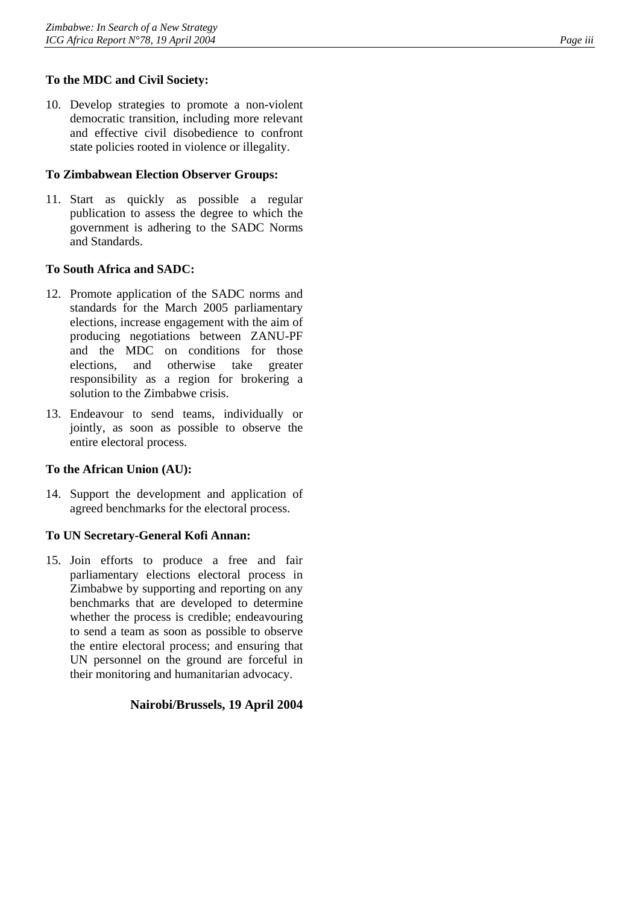# **To the MDC and Civil Society:**

10. Develop strategies to promote a non-violent democratic transition, including more relevant and effective civil disobedience to confront state policies rooted in violence or illegality.

### **To Zimbabwean Election Observer Groups:**

11. Start as quickly as possible a regular publication to assess the degree to which the government is adhering to the SADC Norms and Standards.

### **To South Africa and SADC:**

- 12. Promote application of the SADC norms and standards for the March 2005 parliamentary elections, increase engagement with the aim of producing negotiations between ZANU-PF and the MDC on conditions for those elections, and otherwise take greater responsibility as a region for brokering a solution to the Zimbabwe crisis.
- 13. Endeavour to send teams, individually or jointly, as soon as possible to observe the entire electoral process.

### **To the African Union (AU):**

14. Support the development and application of agreed benchmarks for the electoral process.

### **To UN Secretary-General Kofi Annan:**

15. Join efforts to produce a free and fair parliamentary elections electoral process in Zimbabwe by supporting and reporting on any benchmarks that are developed to determine whether the process is credible; endeavouring to send a team as soon as possible to observe the entire electoral process; and ensuring that UN personnel on the ground are forceful in their monitoring and humanitarian advocacy.

### **Nairobi/Brussels, 19 April 2004**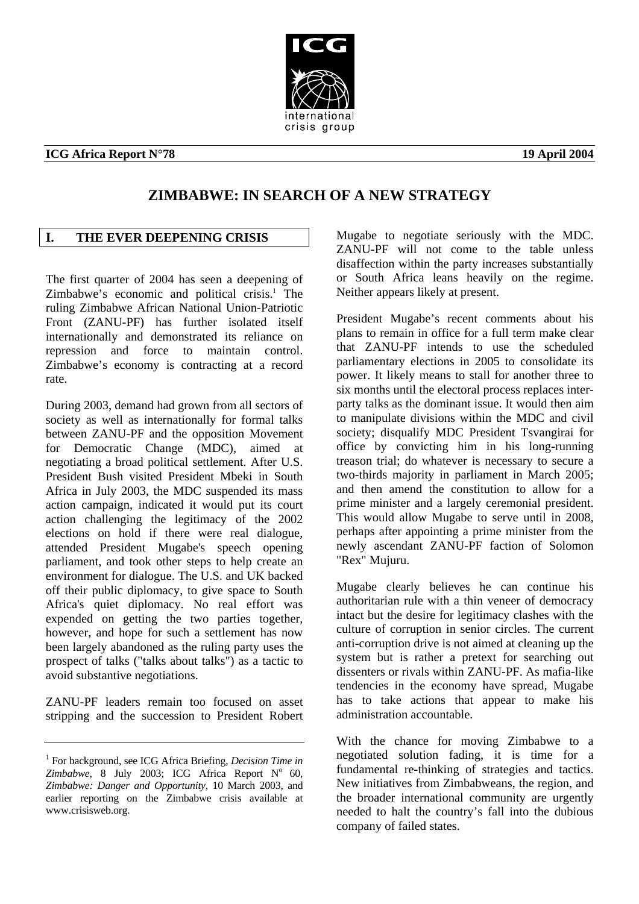# crisis group

# **ICG Africa Report N°78** 19 April 2004

# **ZIMBABWE: IN SEARCH OF A NEW STRATEGY**

# <span id="page-5-0"></span>**I. THE EVER DEEPENING CRISIS**

The first quarter of 2004 has seen a deepening of Zimbabwe's economic and political crisis.<sup>1</sup> The ruling Zimbabwe African National Union-Patriotic Front (ZANU-PF) has further isolated itself internationally and demonstrated its reliance on repression and force to maintain control. Zimbabwe's economy is contracting at a record rate.

During 2003, demand had grown from all sectors of society as well as internationally for formal talks between ZANU-PF and the opposition Movement for Democratic Change (MDC), aimed at negotiating a broad political settlement. After U.S. President Bush visited President Mbeki in South Africa in July 2003, the MDC suspended its mass action campaign, indicated it would put its court action challenging the legitimacy of the 2002 elections on hold if there were real dialogue, attended President Mugabe's speech opening parliament, and took other steps to help create an environment for dialogue. The U.S. and UK backed off their public diplomacy, to give space to South Africa's quiet diplomacy. No real effort was expended on getting the two parties together, however, and hope for such a settlement has now been largely abandoned as the ruling party uses the prospect of talks ("talks about talks") as a tactic to avoid substantive negotiations.

ZANU-PF leaders remain too focused on asset stripping and the succession to President Robert Mugabe to negotiate seriously with the MDC. ZANU-PF will not come to the table unless disaffection within the party increases substantially or South Africa leans heavily on the regime. Neither appears likely at present.

President Mugabe's recent comments about his plans to remain in office for a full term make clear that ZANU-PF intends to use the scheduled parliamentary elections in 2005 to consolidate its power. It likely means to stall for another three to six months until the electoral process replaces interparty talks as the dominant issue. It would then aim to manipulate divisions within the MDC and civil society; disqualify MDC President Tsvangirai for office by convicting him in his long-running treason trial; do whatever is necessary to secure a two-thirds majority in parliament in March 2005; and then amend the constitution to allow for a prime minister and a largely ceremonial president. This would allow Mugabe to serve until in 2008, perhaps after appointing a prime minister from the newly ascendant ZANU-PF faction of Solomon "Rex" Mujuru.

Mugabe clearly believes he can continue his authoritarian rule with a thin veneer of democracy intact but the desire for legitimacy clashes with the culture of corruption in senior circles. The current anti-corruption drive is not aimed at cleaning up the system but is rather a pretext for searching out dissenters or rivals within ZANU-PF. As mafia-like tendencies in the economy have spread, Mugabe has to take actions that appear to make his administration accountable.

With the chance for moving Zimbabwe to a negotiated solution fading, it is time for a fundamental re-thinking of strategies and tactics. New initiatives from Zimbabweans, the region, and the broader international community are urgently needed to halt the country's fall into the dubious company of failed states.



<span id="page-5-1"></span><sup>&</sup>lt;sup>1</sup> For background, see ICG Africa Briefing, *Decision Time in*  $Zimbabwe$ , 8 July 2003; ICG Africa Report  $N^{\circ}$  60, *Zimbabwe: Danger and Opportunity*, 10 March 2003, and earlier reporting on the Zimbabwe crisis available at www.crisisweb.org.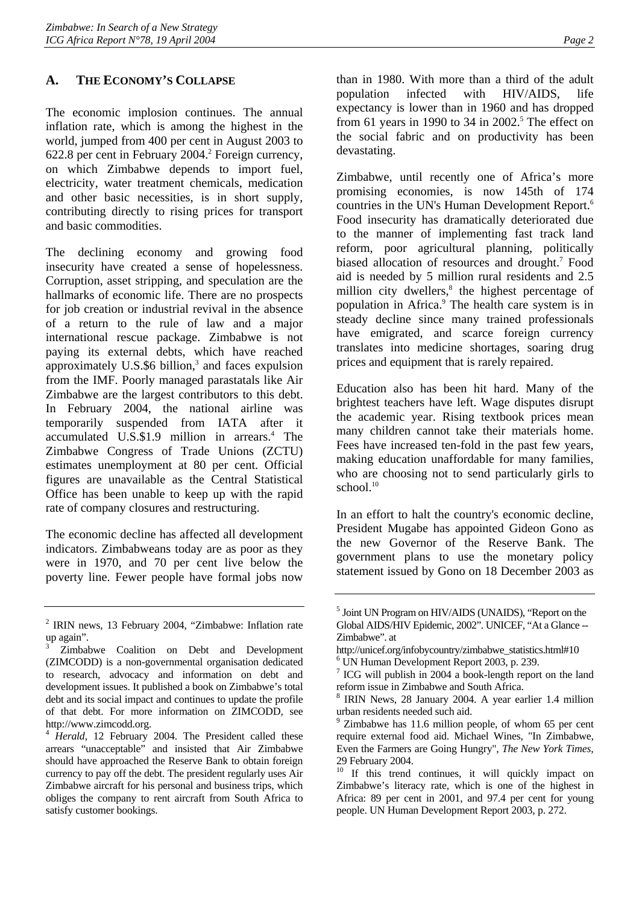# <span id="page-6-0"></span>**A. THE ECONOMY'S COLLAPSE**

The economic implosion continues. The annual inflation rate, which is among the highest in the world, jumped from 400 per cent in August 2003 to 6[2](#page-6-1)2.8 per cent in February 2004.<sup>2</sup> Foreign currency, on which Zimbabwe depends to import fuel, electricity, water treatment chemicals, medication and other basic necessities, is in short supply, contributing directly to rising prices for transport and basic commodities.

The declining economy and growing food insecurity have created a sense of hopelessness. Corruption, asset stripping, and speculation are the hallmarks of economic life. There are no prospects for job creation or industrial revival in the absence of a return to the rule of law and a major international rescue package. Zimbabwe is not paying its external debts, which have reached approximately  $U.S.\$ \$6 billion,<sup>[3](#page-6-2)</sup> and faces expulsion from the IMF. Poorly managed parastatals like Air Zimbabwe are the largest contributors to this debt. In February 2004, the national airline was temporarily suspended from IATA after it accumulated U.S.\$1.9 million in arrears.<sup>4</sup> The Zimbabwe Congress of Trade Unions (ZCTU) estimates unemployment at 80 per cent. Official figures are unavailable as the Central Statistical Office has been unable to keep up with the rapid rate of company closures and restructuring.

The economic decline has affected all development indicators. Zimbabweans today are as poor as they were in 1970, and 70 per cent live below the poverty line. Fewer people have formal jobs now than in 1980. With more than a third of the adult population infected with HIV/AIDS, life expectancy is lower than in 1960 and has dropped from 61 years in 1990 to 34 in  $2002$ <sup>5</sup>. The effect on the social fabric and on productivity has been devastating.

Zimbabwe, until recently one of Africa's more promising economies, is now 145th of 174 countries in the UN's Human Development Report.<sup>[6](#page-6-5)</sup> Food insecurity has dramatically deteriorated due to the manner of implementing fast track land reform, poor agricultural planning, politically biased allocation of resources and drought.<sup>7</sup> Food aid is needed by 5 million rural residents and 2.5 million city dwellers, $<sup>8</sup>$  the highest percentage of</sup> population in Africa.<sup>[9](#page-6-8)</sup> The health care system is in steady decline since many trained professionals have emigrated, and scarce foreign currency translates into medicine shortages, soaring drug prices and equipment that is rarely repaired.

Education also has been hit hard. Many of the brightest teachers have left. Wage disputes disrupt the academic year. Rising textbook prices mean many children cannot take their materials home. Fees have increased ten-fold in the past few years, making education unaffordable for many families, who are choosing not to send particularly girls to school. $10$ 

In an effort to halt the country's economic decline, President Mugabe has appointed Gideon Gono as the new Governor of the Reserve Bank. The government plans to use the monetary policy statement issued by Gono on 18 December 2003 as

<span id="page-6-1"></span><sup>&</sup>lt;sup>2</sup> IRIN news, 13 February 2004, "Zimbabwe: Inflation rate up again".

<span id="page-6-2"></span><sup>3</sup> Zimbabwe Coalition on Debt and Development (ZIMCODD) is a non-governmental organisation dedicated to research, advocacy and information on debt and development issues. It published a book on Zimbabwe's total debt and its social impact and continues to update the profile of that debt. For more information on ZIMCODD, see http://www.zimcodd.org.

<span id="page-6-3"></span><sup>4</sup> *Herald*, 12 February 2004. The President called these arrears "unacceptable" and insisted that Air Zimbabwe should have approached the Reserve Bank to obtain foreign currency to pay off the debt. The president regularly uses Air Zimbabwe aircraft for his personal and business trips, which obliges the company to rent aircraft from South Africa to satisfy customer bookings.

<span id="page-6-4"></span><sup>&</sup>lt;sup>5</sup> Joint UN Program on HIV/AIDS (UNAIDS), "Report on the Global AIDS/HIV Epidemic, 2002". UNICEF, "At a Glance -- Zimbabwe". at

<span id="page-6-5"></span>http://unicef.org/infobycountry/zimbabwe\_statistics.html#10 6 UN Human Development Report 2003, p. 239.

<span id="page-6-6"></span><sup>7</sup> ICG will publish in 2004 a book-length report on the land reform issue in Zimbabwe and South Africa.

<span id="page-6-7"></span><sup>8</sup> IRIN News, 28 January 2004. A year earlier 1.4 million urban residents needed such aid.

<span id="page-6-8"></span><sup>9</sup> Zimbabwe has 11.6 million people, of whom 65 per cent require external food aid. Michael Wines, "In Zimbabwe, Even the Farmers are Going Hungry", *The New York Times*, 29 February 2004.

<span id="page-6-9"></span><sup>&</sup>lt;sup>10</sup> If this trend continues, it will quickly impact on Zimbabwe's literacy rate, which is one of the highest in Africa: 89 per cent in 2001, and 97.4 per cent for young people. UN Human Development Report 2003, p. 272.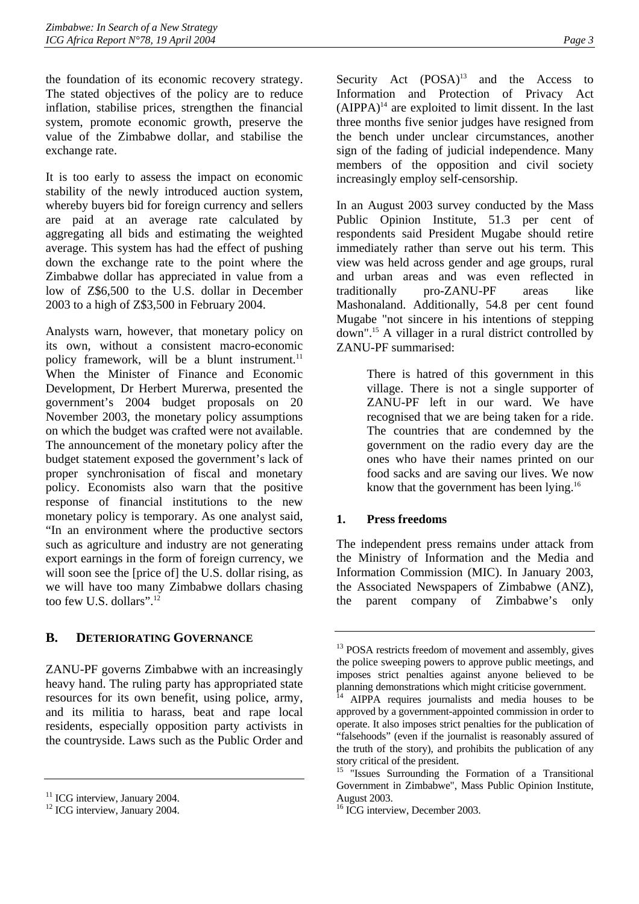the foundation of its economic recovery strategy. The stated objectives of the policy are to reduce inflation, stabilise prices, strengthen the financial system, promote economic growth, preserve the value of the Zimbabwe dollar, and stabilise the exchange rate.

It is too early to assess the impact on economic stability of the newly introduced auction system, whereby buyers bid for foreign currency and sellers are paid at an average rate calculated by aggregating all bids and estimating the weighted average. This system has had the effect of pushing down the exchange rate to the point where the Zimbabwe dollar has appreciated in value from a low of Z\$6,500 to the U.S. dollar in December 2003 to a high of Z\$3,500 in February 2004.

Analysts warn, however, that monetary policy on its own, without a consistent macro-economic policy framework, will be a blunt instrument.<sup>11</sup> When the Minister of Finance and Economic Development, Dr Herbert Murerwa, presented the government's 2004 budget proposals on 20 November 2003, the monetary policy assumptions on which the budget was crafted were not available. The announcement of the monetary policy after the budget statement exposed the government's lack of proper synchronisation of fiscal and monetary policy. Economists also warn that the positive response of financial institutions to the new monetary policy is temporary. As one analyst said, "In an environment where the productive sectors such as agriculture and industry are not generating export earnings in the form of foreign currency, we will soon see the [price of] the U.S. dollar rising, as we will have too many Zimbabwe dollars chasing too few U.S. dollars".[12](#page-7-3) 

# <span id="page-7-0"></span>**B. DETERIORATING GOVERNANCE**

ZANU-PF governs Zimbabwe with an increasingly heavy hand. The ruling party has appropriated state resources for its own benefit, using police, army, and its militia to harass, beat and rape local residents, especially opposition party activists in the countryside. Laws such as the Public Order and Security Act  $(POSA)^{13}$  and the Access to Information and Protection of Privacy Act  $(AIPPA)^{14}$  are exploited to limit dissent. In the last three months five senior judges have resigned from the bench under unclear circumstances, another sign of the fading of judicial independence. Many members of the opposition and civil society increasingly employ self-censorship.

In an August 2003 survey conducted by the Mass Public Opinion Institute, 51.3 per cent of respondents said President Mugabe should retire immediately rather than serve out his term. This view was held across gender and age groups, rural and urban areas and was even reflected in traditionally pro-ZANU-PF areas like Mashonaland. Additionally, 54.8 per cent found Mugabe "not sincere in his intentions of stepping down".[15](#page-7-6) A villager in a rural district controlled by ZANU-PF summarised:

> There is hatred of this government in this village. There is not a single supporter of ZANU-PF left in our ward. We have recognised that we are being taken for a ride. The countries that are condemned by the government on the radio every day are the ones who have their names printed on our food sacks and are saving our lives. We now know that the government has been lying.<sup>16</sup>

# <span id="page-7-1"></span>**1. Press freedoms**

The independent press remains under attack from the Ministry of Information and the Media and Information Commission (MIC). In January 2003, the Associated Newspapers of Zimbabwe (ANZ), the parent company of Zimbabwe's only

<span id="page-7-2"></span><sup>&</sup>lt;sup>11</sup> ICG interview, January 2004.

<span id="page-7-3"></span><sup>&</sup>lt;sup>12</sup> ICG interview, January 2004.

<span id="page-7-4"></span><sup>&</sup>lt;sup>13</sup> POSA restricts freedom of movement and assembly, gives the police sweeping powers to approve public meetings, and imposes strict penalties against anyone believed to be planning demonstrations which might criticise government.

<span id="page-7-5"></span><sup>14</sup> AIPPA requires journalists and media houses to be approved by a government-appointed commission in order to operate. It also imposes strict penalties for the publication of "falsehoods" (even if the journalist is reasonably assured of the truth of the story), and prohibits the publication of any story critical of the president.

<span id="page-7-6"></span><sup>&</sup>lt;sup>15</sup> "Issues Surrounding the Formation of a Transitional Government in Zimbabwe", Mass Public Opinion Institute, August 2003.

<span id="page-7-7"></span><sup>&</sup>lt;sup>16</sup> ICG interview, December 2003.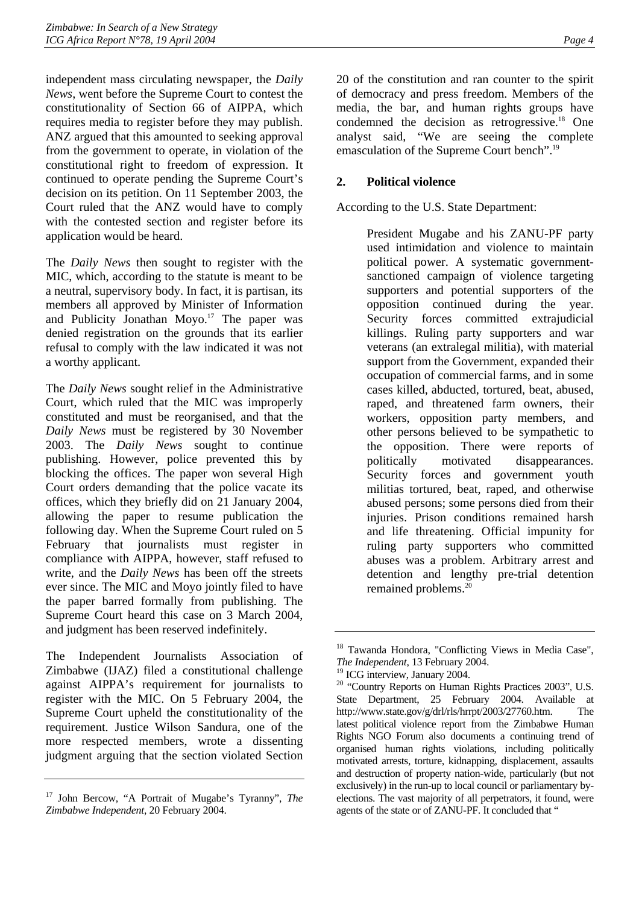independent mass circulating newspaper, the *Daily News*, went before the Supreme Court to contest the constitutionality of Section 66 of AIPPA, which requires media to register before they may publish. ANZ argued that this amounted to seeking approval from the government to operate, in violation of the constitutional right to freedom of expression. It continued to operate pending the Supreme Court's decision on its petition. On 11 September 2003, the Court ruled that the ANZ would have to comply with the contested section and register before its application would be heard.

The *Daily News* then sought to register with the MIC, which, according to the statute is meant to be a neutral, supervisory body. In fact, it is partisan, its members all approved by Minister of Information and Publicity Jonathan Moyo.<sup>17</sup> The paper was denied registration on the grounds that its earlier refusal to comply with the law indicated it was not a worthy applicant.

The *Daily News* sought relief in the Administrative Court, which ruled that the MIC was improperly constituted and must be reorganised, and that the *Daily News* must be registered by 30 November 2003. The *Daily News* sought to continue publishing. However, police prevented this by blocking the offices. The paper won several High Court orders demanding that the police vacate its offices, which they briefly did on 21 January 2004, allowing the paper to resume publication the following day. When the Supreme Court ruled on 5 February that journalists must register in compliance with AIPPA, however, staff refused to write, and the *Daily News* has been off the streets ever since. The MIC and Moyo jointly filed to have the paper barred formally from publishing. The Supreme Court heard this case on 3 March 2004, and judgment has been reserved indefinitely.

The Independent Journalists Association of Zimbabwe (IJAZ) filed a constitutional challenge against AIPPA's requirement for journalists to register with the MIC. On 5 February 2004, the Supreme Court upheld the constitutionality of the requirement. Justice Wilson Sandura, one of the more respected members, wrote a dissenting judgment arguing that the section violated Section 20 of the constitution and ran counter to the spirit of democracy and press freedom. Members of the media, the bar, and human rights groups have condemned the decision as retrogressive.<sup>18</sup> One analyst said, "We are seeing the complete emasculation of the Supreme Court bench".<sup>19</sup>

# <span id="page-8-0"></span>**2. Political violence**

According to the U.S. State Department:

President Mugabe and his ZANU-PF party used intimidation and violence to maintain political power. A systematic governmentsanctioned campaign of violence targeting supporters and potential supporters of the opposition continued during the year. Security forces committed extrajudicial killings. Ruling party supporters and war veterans (an extralegal militia), with material support from the Government, expanded their occupation of commercial farms, and in some cases killed, abducted, tortured, beat, abused, raped, and threatened farm owners, their workers, opposition party members, and other persons believed to be sympathetic to the opposition. There were reports of politically motivated disappearances. Security forces and government youth militias tortured, beat, raped, and otherwise abused persons; some persons died from their injuries. Prison conditions remained harsh and life threatening. Official impunity for ruling party supporters who committed abuses was a problem. Arbitrary arrest and detention and lengthy pre-trial detention remained problems.[20](#page-8-4)

<span id="page-8-1"></span><sup>17</sup> John Bercow, "A Portrait of Mugabe's Tyranny", *The Zimbabwe Independent*, 20 February 2004.

<span id="page-8-2"></span><sup>&</sup>lt;sup>18</sup> Tawanda Hondora, "Conflicting Views in Media Case", *The Independent*, 13 February 2004.

<span id="page-8-3"></span><sup>&</sup>lt;sup>19</sup> ICG interview, January 2004.

<span id="page-8-4"></span><sup>20 &</sup>quot;Country Reports on Human Rights Practices 2003", U.S. State Department, 25 February 2004. Available at http://www.state.gov/g/drl/rls/hrrpt/2003/27760.htm. The latest political violence report from the Zimbabwe Human Rights NGO Forum also documents a continuing trend of organised human rights violations, including politically motivated arrests, torture, kidnapping, displacement, assaults and destruction of property nation-wide, particularly (but not exclusively) in the run-up to local council or parliamentary byelections. The vast majority of all perpetrators, it found, were agents of the state or of ZANU-PF. It concluded that "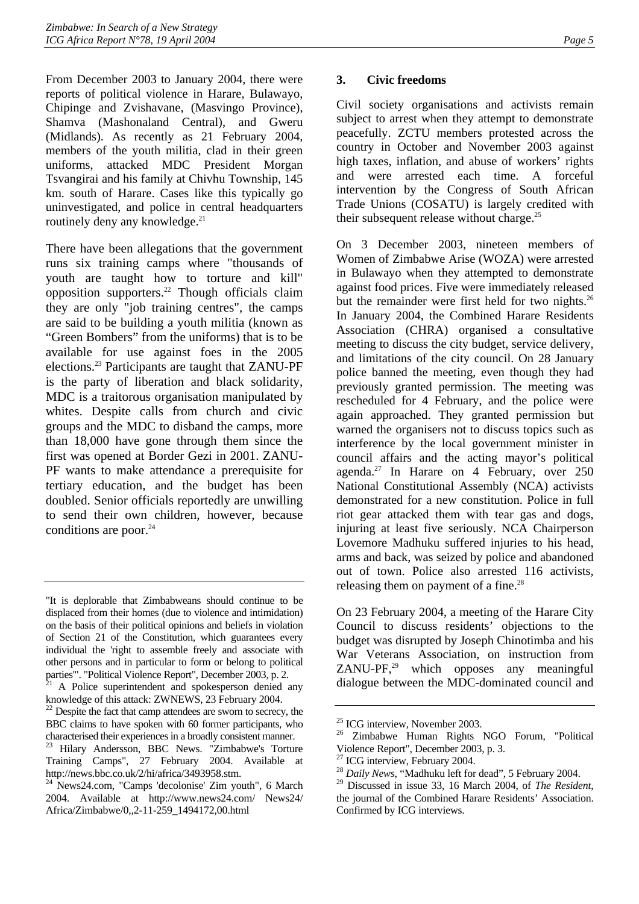From December 2003 to January 2004, there were reports of political violence in Harare, Bulawayo, Chipinge and Zvishavane, (Masvingo Province), Shamva (Mashonaland Central), and Gweru (Midlands). As recently as 21 February 2004, members of the youth militia, clad in their green uniforms, attacked MDC President Morgan Tsvangirai and his family at Chivhu Township, 145 km. south of Harare. Cases like this typically go uninvestigated, and police in central headquarters routinely deny any knowledge.<sup>21</sup>

There have been allegations that the government runs six training camps where "thousands of youth are taught how to torture and kill" opposition supporters.[22](#page-9-2) Though officials claim they are only "job training centres", the camps are said to be building a youth militia (known as "Green Bombers" from the uniforms) that is to be available for use against foes in the 2005 elections[.23](#page-9-3) Participants are taught that ZANU-PF is the party of liberation and black solidarity, MDC is a traitorous organisation manipulated by whites. Despite calls from church and civic groups and the MDC to disband the camps, more than 18,000 have gone through them since the first was opened at Border Gezi in 2001. ZANU-PF wants to make attendance a prerequisite for tertiary education, and the budget has been doubled. Senior officials reportedly are unwilling to send their own children, however, because conditions are poor. $24$ 

# <span id="page-9-0"></span>**3. Civic freedoms**

Civil society organisations and activists remain subject to arrest when they attempt to demonstrate peacefully. ZCTU members protested across the country in October and November 2003 against high taxes, inflation, and abuse of workers' rights and were arrested each time. A forceful intervention by the Congress of South African Trade Unions (COSATU) is largely credited with their subsequent release without charge.<sup>25</sup>

On 3 December 2003, nineteen members of Women of Zimbabwe Arise (WOZA) were arrested in Bulawayo when they attempted to demonstrate against food prices. Five were immediately released but the remainder were first held for two nights.<sup>26</sup> In January 2004, the Combined Harare Residents Association (CHRA) organised a consultative meeting to discuss the city budget, service delivery, and limitations of the city council. On 28 January police banned the meeting, even though they had previously granted permission. The meeting was rescheduled for 4 February, and the police were again approached. They granted permission but warned the organisers not to discuss topics such as interference by the local government minister in council affairs and the acting mayor's political agenda.<sup>27</sup> In Harare on 4 February, over 250 National Constitutional Assembly (NCA) activists demonstrated for a new constitution. Police in full riot gear attacked them with tear gas and dogs, injuring at least five seriously. NCA Chairperson Lovemore Madhuku suffered injuries to his head, arms and back, was seized by police and abandoned out of town. Police also arrested 116 activists, releasing them on payment of a fine. $^{28}$  $^{28}$  $^{28}$ 

On 23 February 2004, a meeting of the Harare City Council to discuss residents' objections to the budget was disrupted by Joseph Chinotimba and his War Veterans Association, on instruction from  $ZANU-PF<sub>1</sub><sup>29</sup>$  which opposes any meaningful dialogue between the MDC-dominated council and

<sup>&</sup>quot;It is deplorable that Zimbabweans should continue to be displaced from their homes (due to violence and intimidation) on the basis of their political opinions and beliefs in violation of Section 21 of the Constitution, which guarantees every individual the 'right to assemble freely and associate with other persons and in particular to form or belong to political

<span id="page-9-1"></span>parties'". "Political Violence Report", December 2003, p. 2.<br><sup>21</sup> A Police superintendent and spokesperson denied any knowledge of this attack: ZWNEWS, 23 February 2004.

<span id="page-9-2"></span> $22$  Despite the fact that camp attendees are sworn to secrecy, the BBC claims to have spoken with 60 former participants, who

<span id="page-9-3"></span>characterised their experiences in a broadly consistent manner. 23 Hilary Andersson, BBC News. "Zimbabwe's Torture Training Camps", 27 February 2004. Available at http://news.bbc.co.uk/2/hi/africa/3493958.stm.

<span id="page-9-4"></span><sup>24</sup> News24.com, "Camps 'decolonise' Zim youth", 6 March 2004. Available at http://www.news24.com/ News24/ Africa/Zimbabwe/0,,2-11-259\_1494172,00.html

<span id="page-9-5"></span><sup>&</sup>lt;sup>25</sup> ICG interview, November 2003.

<span id="page-9-6"></span><sup>26</sup> Zimbabwe Human Rights NGO Forum, "Political Violence Report", December 2003, p. 3.

<span id="page-9-7"></span><sup>&</sup>lt;sup>27</sup> ICG interview, February 2004.

<span id="page-9-8"></span><sup>28</sup> *Daily News*, "Madhuku left for dead", 5 February 2004.

<span id="page-9-9"></span><sup>29</sup> Discussed in issue 33, 16 March 2004, of *The Resident*, the journal of the Combined Harare Residents' Association. Confirmed by ICG interviews.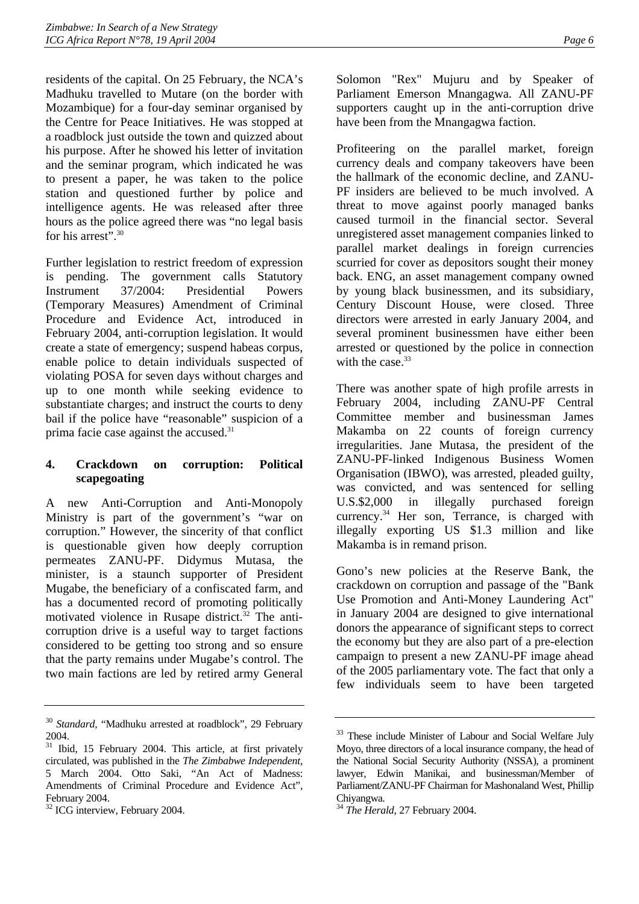residents of the capital. On 25 February, the NCA's Madhuku travelled to Mutare (on the border with Mozambique) for a four-day seminar organised by the Centre for Peace Initiatives. He was stopped at a roadblock just outside the town and quizzed about his purpose. After he showed his letter of invitation and the seminar program, which indicated he was to present a paper, he was taken to the police station and questioned further by police and intelligence agents. He was released after three hours as the police agreed there was "no legal basis for his arrest". 30

Further legislation to restrict freedom of expression is pending. The government calls Statutory Instrument 37/2004: Presidential Powers (Temporary Measures) Amendment of Criminal Procedure and Evidence Act, introduced in February 2004, anti-corruption legislation. It would create a state of emergency; suspend habeas corpus, enable police to detain individuals suspected of violating POSA for seven days without charges and up to one month while seeking evidence to substantiate charges; and instruct the courts to deny bail if the police have "reasonable" suspicion of a prima facie case against the accused.[31](#page-10-2)

# <span id="page-10-0"></span>**4. Crackdown on corruption: Political scapegoating**

A new Anti-Corruption and Anti-Monopoly Ministry is part of the government's "war on corruption." However, the sincerity of that conflict is questionable given how deeply corruption permeates ZANU-PF. Didymus Mutasa, the minister, is a staunch supporter of President Mugabe, the beneficiary of a confiscated farm, and has a documented record of promoting politically motivated violence in Rusape district. $32$  The anticorruption drive is a useful way to target factions considered to be getting too strong and so ensure that the party remains under Mugabe's control. The two main factions are led by retired army General

Solomon "Rex" Mujuru and by Speaker of Parliament Emerson Mnangagwa. All ZANU-PF supporters caught up in the anti-corruption drive have been from the Mnangagwa faction.

Profiteering on the parallel market, foreign currency deals and company takeovers have been the hallmark of the economic decline, and ZANU-PF insiders are believed to be much involved. A threat to move against poorly managed banks caused turmoil in the financial sector. Several unregistered asset management companies linked to parallel market dealings in foreign currencies scurried for cover as depositors sought their money back. ENG, an asset management company owned by young black businessmen, and its subsidiary, Century Discount House, were closed. Three directors were arrested in early January 2004, and several prominent businessmen have either been arrested or questioned by the police in connection with the case  $33$ 

There was another spate of high profile arrests in February 2004, including ZANU-PF Central Committee member and businessman James Makamba on 22 counts of foreign currency irregularities. Jane Mutasa, the president of the ZANU-PF-linked Indigenous Business Women Organisation (IBWO), was arrested, pleaded guilty, was convicted, and was sentenced for selling U.S.\$2,000 in illegally purchased foreign currency.<sup>34</sup> Her son, Terrance, is charged with illegally exporting US \$1.3 million and like Makamba is in remand prison.

Gono's new policies at the Reserve Bank, the crackdown on corruption and passage of the "Bank Use Promotion and Anti-Money Laundering Act" in January 2004 are designed to give international donors the appearance of significant steps to correct the economy but they are also part of a pre-election campaign to present a new ZANU-PF image ahead of the 2005 parliamentary vote. The fact that only a few individuals seem to have been targeted

<span id="page-10-1"></span><sup>30</sup> *Standard*, "Madhuku arrested at roadblock", 29 February 2004.

<span id="page-10-2"></span><sup>&</sup>lt;sup>31</sup> Ibid, 15 February 2004. This article, at first privately circulated, was published in the *The Zimbabwe Independent*, 5 March 2004. Otto Saki, "An Act of Madness: Amendments of Criminal Procedure and Evidence Act", February 2004.

<span id="page-10-3"></span><sup>&</sup>lt;sup>32</sup> ICG interview, February 2004.

<span id="page-10-4"></span><sup>&</sup>lt;sup>33</sup> These include Minister of Labour and Social Welfare July Moyo, three directors of a local insurance company, the head of the National Social Security Authority (NSSA), a prominent lawyer, Edwin Manikai, and businessman/Member of Parliament/ZANU-PF Chairman for Mashonaland West, Phillip Chiyangwa.

<span id="page-10-5"></span><sup>34</sup> *The Herald*, 27 February 2004.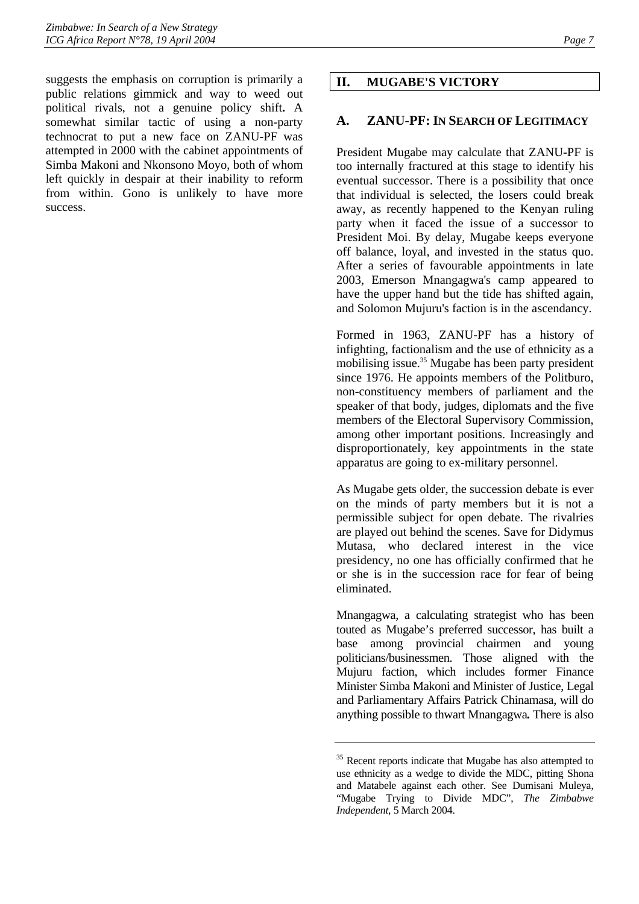suggests the emphasis on corruption is primarily a public relations gimmick and way to weed out political rivals, not a genuine policy shift**.** A somewhat similar tactic of using a non-party technocrat to put a new face on ZANU-PF was attempted in 2000 with the cabinet appointments of Simba Makoni and Nkonsono Moyo, both of whom left quickly in despair at their inability to reform from within. Gono is unlikely to have more success.

# <span id="page-11-0"></span>**II. MUGABE'S VICTORY**

# <span id="page-11-1"></span>**A. ZANU-PF: IN SEARCH OF LEGITIMACY**

President Mugabe may calculate that ZANU-PF is too internally fractured at this stage to identify his eventual successor. There is a possibility that once that individual is selected, the losers could break away, as recently happened to the Kenyan ruling party when it faced the issue of a successor to President Moi. By delay, Mugabe keeps everyone off balance, loyal, and invested in the status quo. After a series of favourable appointments in late 2003, Emerson Mnangagwa's camp appeared to have the upper hand but the tide has shifted again, and Solomon Mujuru's faction is in the ascendancy.

Formed in 1963, ZANU-PF has a history of infighting, factionalism and the use of ethnicity as a mobilising issue.<sup>35</sup> Mugabe has been party president since 1976. He appoints members of the Politburo, non-constituency members of parliament and the speaker of that body, judges, diplomats and the five members of the Electoral Supervisory Commission, among other important positions. Increasingly and disproportionately, key appointments in the state apparatus are going to ex-military personnel.

As Mugabe gets older, the succession debate is ever on the minds of party members but it is not a permissible subject for open debate. The rivalries are played out behind the scenes. Save for Didymus Mutasa, who declared interest in the vice presidency, no one has officially confirmed that he or she is in the succession race for fear of being eliminated.

Mnangagwa, a calculating strategist who has been touted as Mugabe's preferred successor, has built a base among provincial chairmen and young politicians/businessmen. Those aligned with the Mujuru faction, which includes former Finance Minister Simba Makoni and Minister of Justice, Legal and Parliamentary Affairs Patrick Chinamasa, will do anything possible to thwart Mnangagwa*.* There is also

<span id="page-11-2"></span><sup>&</sup>lt;sup>35</sup> Recent reports indicate that Mugabe has also attempted to use ethnicity as a wedge to divide the MDC, pitting Shona and Matabele against each other. See Dumisani Muleya, "Mugabe Trying to Divide MDC", *The Zimbabwe Independent*, 5 March 2004.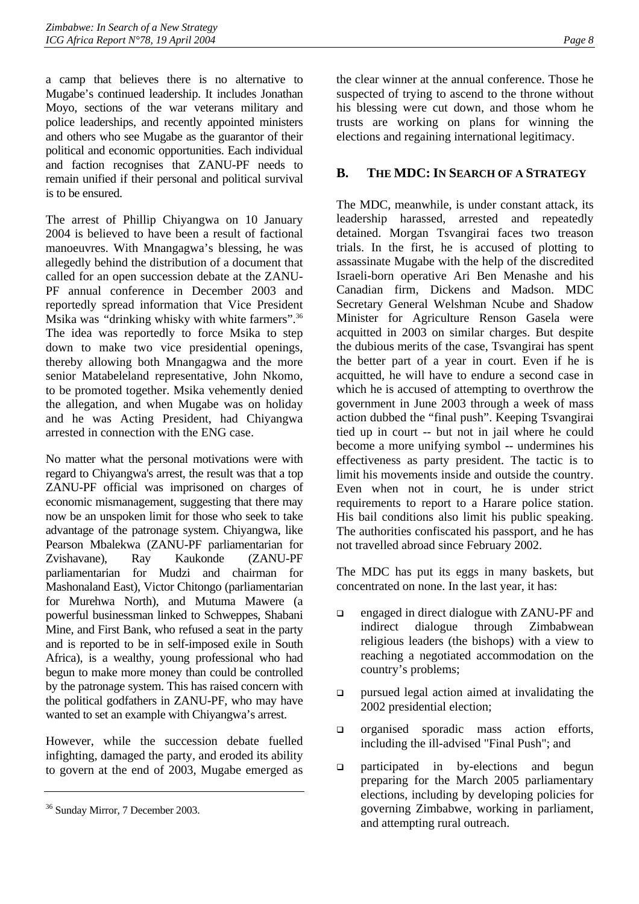a camp that believes there is no alternative to Mugabe's continued leadership. It includes Jonathan Moyo, sections of the war veterans military and police leaderships, and recently appointed ministers and others who see Mugabe as the guarantor of their political and economic opportunities. Each individual and faction recognises that ZANU-PF needs to remain unified if their personal and political survival is to be ensured.

The arrest of Phillip Chiyangwa on 10 January 2004 is believed to have been a result of factional manoeuvres. With Mnangagwa's blessing, he was allegedly behind the distribution of a document that called for an open succession debate at the ZANU-PF annual conference in December 2003 and reportedly spread information that Vice President Msika was *"*drinking whisky with white farmers"[.36](#page-12-1) The idea was reportedly to force Msika to step down to make two vice presidential openings, thereby allowing both Mnangagwa and the more senior Matabeleland representative, John Nkomo, to be promoted together. Msika vehemently denied the allegation, and when Mugabe was on holiday and he was Acting President, had Chiyangwa arrested in connection with the ENG case.

No matter what the personal motivations were with regard to Chiyangwa's arrest, the result was that a top ZANU-PF official was imprisoned on charges of economic mismanagement, suggesting that there may now be an unspoken limit for those who seek to take advantage of the patronage system. Chiyangwa, like Pearson Mbalekwa (ZANU-PF parliamentarian for Zvishavane), Ray Kaukonde (ZANU-PF parliamentarian for Mudzi and chairman for Mashonaland East), Victor Chitongo (parliamentarian for Murehwa North), and Mutuma Mawere (a powerful businessman linked to Schweppes, Shabani Mine, and First Bank, who refused a seat in the party and is reported to be in self-imposed exile in South Africa), is a wealthy, young professional who had begun to make more money than could be controlled by the patronage system. This has raised concern with the political godfathers in ZANU-PF, who may have wanted to set an example with Chiyangwa's arrest.

However, while the succession debate fuelled infighting, damaged the party, and eroded its ability to govern at the end of 2003, Mugabe emerged as the clear winner at the annual conference. Those he suspected of trying to ascend to the throne without his blessing were cut down, and those whom he trusts are working on plans for winning the elections and regaining international legitimacy.

# <span id="page-12-0"></span>**B. THE MDC: IN SEARCH OF A STRATEGY**

The MDC, meanwhile, is under constant attack, its leadership harassed, arrested and repeatedly detained. Morgan Tsvangirai faces two treason trials. In the first, he is accused of plotting to assassinate Mugabe with the help of the discredited Israeli-born operative Ari Ben Menashe and his Canadian firm, Dickens and Madson. MDC Secretary General Welshman Ncube and Shadow Minister for Agriculture Renson Gasela were acquitted in 2003 on similar charges. But despite the dubious merits of the case, Tsvangirai has spent the better part of a year in court. Even if he is acquitted, he will have to endure a second case in which he is accused of attempting to overthrow the government in June 2003 through a week of mass action dubbed the "final push". Keeping Tsvangirai tied up in court -- but not in jail where he could become a more unifying symbol -- undermines his effectiveness as party president. The tactic is to limit his movements inside and outside the country. Even when not in court, he is under strict requirements to report to a Harare police station. His bail conditions also limit his public speaking. The authorities confiscated his passport, and he has not travelled abroad since February 2002.

The MDC has put its eggs in many baskets, but concentrated on none. In the last year, it has:

- □ engaged in direct dialogue with ZANU-PF and indirect dialogue through Zimbabwean religious leaders (the bishops) with a view to reaching a negotiated accommodation on the country's problems;
- pursued legal action aimed at invalidating the 2002 presidential election;
- $\Box$  organised sporadic mass action efforts, including the ill-advised "Final Push"; and
- participated in by-elections and begun preparing for the March 2005 parliamentary elections, including by developing policies for governing Zimbabwe, working in parliament, and attempting rural outreach.

<span id="page-12-1"></span><sup>36</sup> Sunday Mirror, 7 December 2003.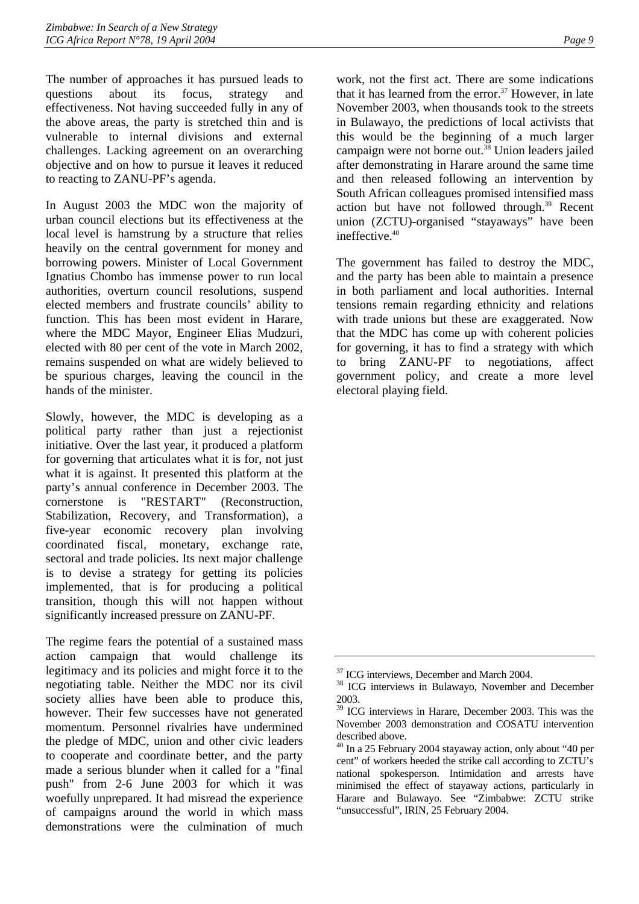The number of approaches it has pursued leads to questions about its focus, strategy and effectiveness. Not having succeeded fully in any of the above areas, the party is stretched thin and is vulnerable to internal divisions and external challenges. Lacking agreement on an overarching objective and on how to pursue it leaves it reduced to reacting to ZANU-PF's agenda.

In August 2003 the MDC won the majority of urban council elections but its effectiveness at the local level is hamstrung by a structure that relies heavily on the central government for money and borrowing powers. Minister of Local Government Ignatius Chombo has immense power to run local authorities, overturn council resolutions, suspend elected members and frustrate councils' ability to function. This has been most evident in Harare, where the MDC Mayor, Engineer Elias Mudzuri, elected with 80 per cent of the vote in March 2002, remains suspended on what are widely believed to be spurious charges, leaving the council in the hands of the minister.

Slowly, however, the MDC is developing as a political party rather than just a rejectionist initiative. Over the last year, it produced a platform for governing that articulates what it is for, not just what it is against. It presented this platform at the party's annual conference in December 2003. The cornerstone is "RESTART" (Reconstruction, Stabilization, Recovery, and Transformation), a five-year economic recovery plan involving coordinated fiscal, monetary, exchange rate, sectoral and trade policies. Its next major challenge is to devise a strategy for getting its policies implemented, that is for producing a political transition, though this will not happen without significantly increased pressure on ZANU-PF.

The regime fears the potential of a sustained mass action campaign that would challenge its legitimacy and its policies and might force it to the negotiating table. Neither the MDC nor its civil society allies have been able to produce this, however. Their few successes have not generated momentum. Personnel rivalries have undermined the pledge of MDC, union and other civic leaders to cooperate and coordinate better, and the party made a serious blunder when it called for a "final push" from 2-6 June 2003 for which it was woefully unprepared. It had misread the experience of campaigns around the world in which mass demonstrations were the culmination of much

work, not the first act. There are some indications that it has learned from the error.<sup>37</sup> However, in late November 2003, when thousands took to the streets in Bulawayo, the predictions of local activists that this would be the beginning of a much larger campaign were not borne out.<sup>38</sup> Union leaders jailed after demonstrating in Harare around the same time and then released following an intervention by South African colleagues promised intensified mass action but have not followed through.<sup>39</sup> Recent union (ZCTU)-organised "stayaways" have been ineffective. $40$ 

The government has failed to destroy the MDC, and the party has been able to maintain a presence in both parliament and local authorities. Internal tensions remain regarding ethnicity and relations with trade unions but these are exaggerated. Now that the MDC has come up with coherent policies for governing, it has to find a strategy with which to bring ZANU-PF to negotiations, affect government policy, and create a more level electoral playing field.

<span id="page-13-0"></span><sup>&</sup>lt;sup>37</sup> ICG interviews, December and March 2004.

<span id="page-13-1"></span><sup>38</sup> ICG interviews in Bulawayo, November and December 2003.

<span id="page-13-2"></span><sup>39</sup> ICG interviews in Harare, December 2003. This was the November 2003 demonstration and COSATU intervention described above.

<span id="page-13-3"></span><sup>&</sup>lt;sup>40</sup> In a 25 February 2004 stayaway action, only about "40 per cent" of workers heeded the strike call according to ZCTU's national spokesperson. Intimidation and arrests have minimised the effect of stayaway actions, particularly in Harare and Bulawayo. See "Zimbabwe: ZCTU strike "unsuccessful", IRIN, 25 February 2004.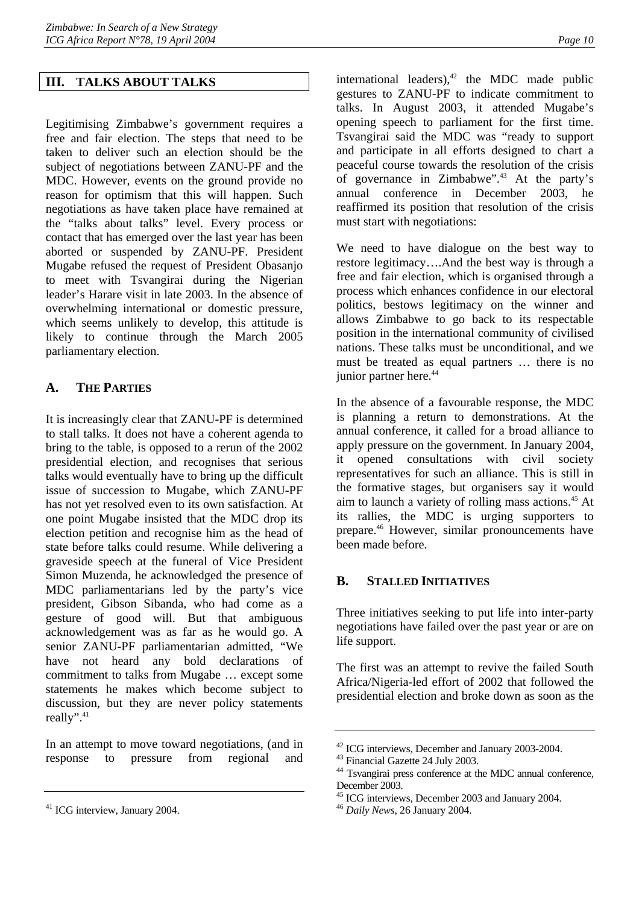# <span id="page-14-0"></span>**III. TALKS ABOUT TALKS**

Legitimising Zimbabwe's government requires a free and fair election. The steps that need to be taken to deliver such an election should be the subject of negotiations between ZANU-PF and the MDC. However, events on the ground provide no reason for optimism that this will happen. Such negotiations as have taken place have remained at the "talks about talks" level. Every process or contact that has emerged over the last year has been aborted or suspended by ZANU-PF. President Mugabe refused the request of President Obasanjo to meet with Tsvangirai during the Nigerian leader's Harare visit in late 2003. In the absence of overwhelming international or domestic pressure, which seems unlikely to develop, this attitude is likely to continue through the March 2005 parliamentary election.

# <span id="page-14-1"></span>**A. THE PARTIES**

It is increasingly clear that ZANU-PF is determined to stall talks. It does not have a coherent agenda to bring to the table, is opposed to a rerun of the 2002 presidential election, and recognises that serious talks would eventually have to bring up the difficult issue of succession to Mugabe, which ZANU-PF has not yet resolved even to its own satisfaction. At one point Mugabe insisted that the MDC drop its election petition and recognise him as the head of state before talks could resume. While delivering a graveside speech at the funeral of Vice President Simon Muzenda, he acknowledged the presence of MDC parliamentarians led by the party's vice president, Gibson Sibanda, who had come as a gesture of good will. But that ambiguous acknowledgement was as far as he would go. A senior ZANU-PF parliamentarian admitted, "We have not heard any bold declarations of commitment to talks from Mugabe … except some statements he makes which become subject to discussion, but they are never policy statements really".<sup>[41](#page-14-3)</sup>

In an attempt to move toward negotiations, (and in response to pressure from regional and

international leaders), $42$  the MDC made public gestures to ZANU-PF to indicate commitment to talks. In August 2003, it attended Mugabe's opening speech to parliament for the first time. Tsvangirai said the MDC was "ready to support and participate in all efforts designed to chart a peaceful course towards the resolution of the crisis of governance in Zimbabwe"[.43](#page-14-5) At the party's annual conference in December 2003, he reaffirmed its position that resolution of the crisis must start with negotiations:

We need to have dialogue on the best way to restore legitimacy….And the best way is through a free and fair election, which is organised through a process which enhances confidence in our electoral politics, bestows legitimacy on the winner and allows Zimbabwe to go back to its respectable position in the international community of civilised nations. These talks must be unconditional, and we must be treated as equal partners … there is no junior partner here.<sup>[44](#page-14-6)</sup>

In the absence of a favourable response, the MDC is planning a return to demonstrations. At the annual conference, it called for a broad alliance to apply pressure on the government. In January 2004, it opened consultations with civil society representatives for such an alliance. This is still in the formative stages, but organisers say it would aim to launch a variety of rolling mass actions.<sup>45</sup> At its rallies, the MDC is urging supporters to prepare.[46](#page-14-8) However, similar pronouncements have been made before.

# <span id="page-14-2"></span>**B. STALLED INITIATIVES**

Three initiatives seeking to put life into inter-party negotiations have failed over the past year or are on life support.

The first was an attempt to revive the failed South Africa/Nigeria-led effort of 2002 that followed the presidential election and broke down as soon as the

<span id="page-14-3"></span><sup>41</sup> ICG interview, January 2004.

<span id="page-14-4"></span><sup>&</sup>lt;sup>42</sup> ICG interviews, December and January 2003-2004.

<span id="page-14-5"></span><sup>&</sup>lt;sup>43</sup> Financial Gazette 24 July 2003.

<span id="page-14-6"></span><sup>44</sup> Tsvangirai press conference at the MDC annual conference, December 2003.

<span id="page-14-7"></span><sup>45</sup> ICG interviews, December 2003 and January 2004.

<span id="page-14-8"></span><sup>46</sup> *Daily News*, 26 January 2004.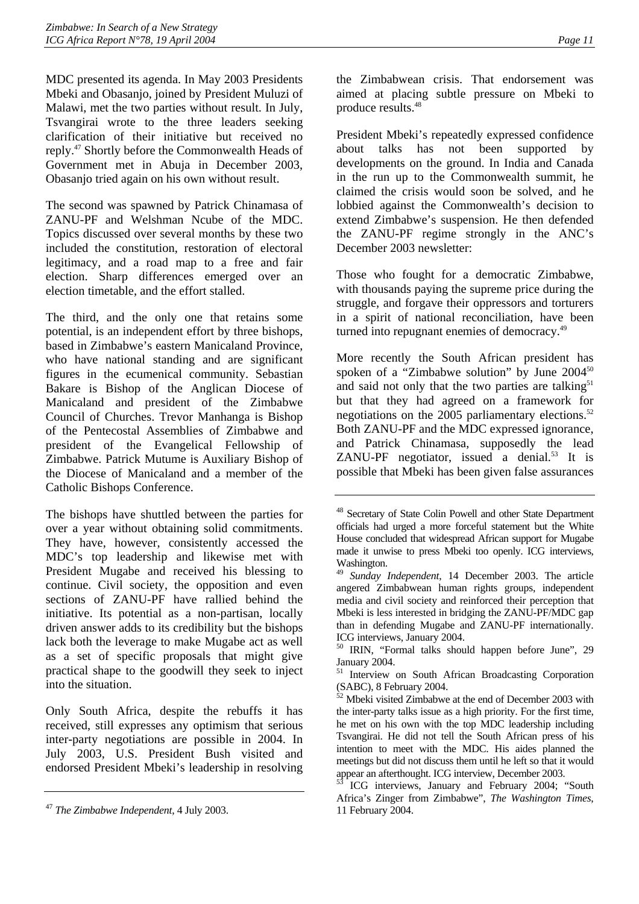MDC presented its agenda. In May 2003 Presidents Mbeki and Obasanjo, joined by President Muluzi of Malawi, met the two parties without result. In July, Tsvangirai wrote to the three leaders seeking clarification of their initiative but received no reply[.47](#page-15-0) Shortly before the Commonwealth Heads of Government met in Abuja in December 2003, Obasanjo tried again on his own without result.

The second was spawned by Patrick Chinamasa of ZANU-PF and Welshman Ncube of the MDC. Topics discussed over several months by these two included the constitution, restoration of electoral legitimacy, and a road map to a free and fair election. Sharp differences emerged over an election timetable, and the effort stalled.

The third, and the only one that retains some potential, is an independent effort by three bishops, based in Zimbabwe's eastern Manicaland Province, who have national standing and are significant figures in the ecumenical community. Sebastian Bakare is Bishop of the Anglican Diocese of Manicaland and president of the Zimbabwe Council of Churches. Trevor Manhanga is Bishop of the Pentecostal Assemblies of Zimbabwe and president of the Evangelical Fellowship of Zimbabwe. Patrick Mutume is Auxiliary Bishop of the Diocese of Manicaland and a member of the Catholic Bishops Conference.

The bishops have shuttled between the parties for over a year without obtaining solid commitments. They have, however, consistently accessed the MDC's top leadership and likewise met with President Mugabe and received his blessing to continue. Civil society, the opposition and even sections of ZANU-PF have rallied behind the initiative. Its potential as a non-partisan, locally driven answer adds to its credibility but the bishops lack both the leverage to make Mugabe act as well as a set of specific proposals that might give practical shape to the goodwill they seek to inject into the situation.

Only South Africa, despite the rebuffs it has received, still expresses any optimism that serious inter-party negotiations are possible in 2004. In July 2003, U.S. President Bush visited and endorsed President Mbeki's leadership in resolving the Zimbabwean crisis. That endorsement was aimed at placing subtle pressure on Mbeki to produce results[.48](#page-15-1) 

President Mbeki's repeatedly expressed confidence about talks has not been supported by developments on the ground. In India and Canada in the run up to the Commonwealth summit, he claimed the crisis would soon be solved, and he lobbied against the Commonwealth's decision to extend Zimbabwe's suspension. He then defended the ZANU-PF regime strongly in the ANC's December 2003 newsletter:

Those who fought for a democratic Zimbabwe, with thousands paying the supreme price during the struggle, and forgave their oppressors and torturers in a spirit of national reconciliation, have been turned into repugnant enemies of democracy.[49](#page-15-2)

More recently the South African president has spoken of a "Zimbabwe solution" by June  $2004^{50}$ and said not only that the two parties are talking $51$ but that they had agreed on a framework for negotiations on the 2005 parliamentary elections. $52$ Both ZANU-PF and the MDC expressed ignorance, and Patrick Chinamasa, supposedly the lead ZANU-PF negotiator, issued a denial.<sup>53</sup> It is possible that Mbeki has been given false assurances

<span id="page-15-0"></span><sup>47</sup> *The Zimbabwe Independent*, 4 July 2003.

<span id="page-15-1"></span><sup>48</sup> Secretary of State Colin Powell and other State Department officials had urged a more forceful statement but the White House concluded that widespread African support for Mugabe made it unwise to press Mbeki too openly. ICG interviews, Washington.

<span id="page-15-2"></span><sup>49</sup> *Sunday Independent*, 14 December 2003. The article angered Zimbabwean human rights groups, independent media and civil society and reinforced their perception that Mbeki is less interested in bridging the ZANU-PF/MDC gap than in defending Mugabe and ZANU-PF internationally. ICG interviews, January 2004.

<span id="page-15-3"></span><sup>50</sup> IRIN, "Formal talks should happen before June", 29 January 2004.

<span id="page-15-4"></span><sup>&</sup>lt;sup>51</sup> Interview on South African Broadcasting Corporation (SABC), 8 February 2004.

<span id="page-15-5"></span> $\frac{52}{2}$  Mbeki visited Zimbabwe at the end of December 2003 with the inter-party talks issue as a high priority. For the first time, he met on his own with the top MDC leadership including Tsvangirai. He did not tell the South African press of his intention to meet with the MDC. His aides planned the meetings but did not discuss them until he left so that it would appear an afterthought. ICG interview, December 2003.

<span id="page-15-6"></span>ICG interviews, January and February 2004; "South Africa's Zinger from Zimbabwe", *The Washington Times*, 11 February 2004.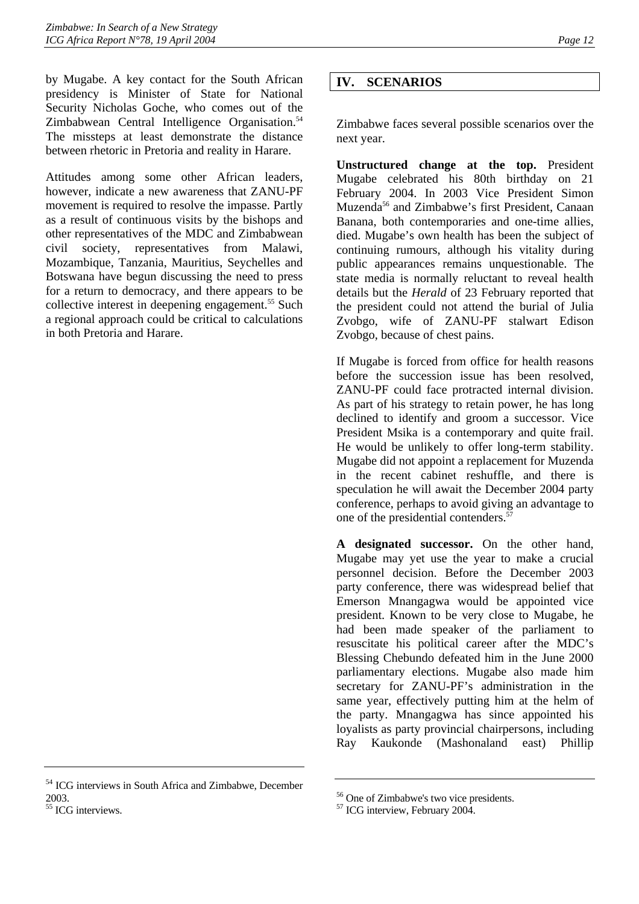by Mugabe. A key contact for the South African presidency is Minister of State for National Security Nicholas Goche, who comes out of the Zimbabwean Central Intelligence Organisation.<sup>54</sup> The missteps at least demonstrate the distance between rhetoric in Pretoria and reality in Harare.

Attitudes among some other African leaders, however, indicate a new awareness that ZANU-PF movement is required to resolve the impasse. Partly as a result of continuous visits by the bishops and other representatives of the MDC and Zimbabwean civil society, representatives from Malawi, Mozambique, Tanzania, Mauritius, Seychelles and Botswana have begun discussing the need to press for a return to democracy, and there appears to be collective interest in deepening engagement.<sup>55</sup> Such a regional approach could be critical to calculations in both Pretoria and Harare.

# <span id="page-16-0"></span>**IV. SCENARIOS**

Zimbabwe faces several possible scenarios over the next year.

**Unstructured change at the top.** President Mugabe celebrated his 80th birthday on 21 February 2004. In 2003 Vice President Simon Muzenda<sup>56</sup> and Zimbabwe's first President, Canaan Banana, both contemporaries and one-time allies, died. Mugabe's own health has been the subject of continuing rumours, although his vitality during public appearances remains unquestionable. The state media is normally reluctant to reveal health details but the *Herald* of 23 February reported that the president could not attend the burial of Julia Zvobgo, wife of ZANU-PF stalwart Edison Zvobgo, because of chest pains.

If Mugabe is forced from office for health reasons before the succession issue has been resolved, ZANU-PF could face protracted internal division. As part of his strategy to retain power, he has long declined to identify and groom a successor. Vice President Msika is a contemporary and quite frail. He would be unlikely to offer long-term stability. Mugabe did not appoint a replacement for Muzenda in the recent cabinet reshuffle, and there is speculation he will await the December 2004 party conference, perhaps to avoid giving an advantage to one of the presidential contenders.<sup>5</sup>

**A designated successor.** On the other hand, Mugabe may yet use the year to make a crucial personnel decision. Before the December 2003 party conference, there was widespread belief that Emerson Mnangagwa would be appointed vice president. Known to be very close to Mugabe, he had been made speaker of the parliament to resuscitate his political career after the MDC's Blessing Chebundo defeated him in the June 2000 parliamentary elections. Mugabe also made him secretary for ZANU-PF's administration in the same year, effectively putting him at the helm of the party. Mnangagwa has since appointed his loyalists as party provincial chairpersons, including Ray Kaukonde (Mashonaland east) Phillip

<span id="page-16-1"></span><sup>54</sup> ICG interviews in South Africa and Zimbabwe, December 2003.

<span id="page-16-2"></span><sup>&</sup>lt;sup>55</sup> ICG interviews.

<span id="page-16-3"></span><sup>56</sup> One of Zimbabwe's two vice presidents.

<span id="page-16-4"></span><sup>57</sup> ICG interview, February 2004.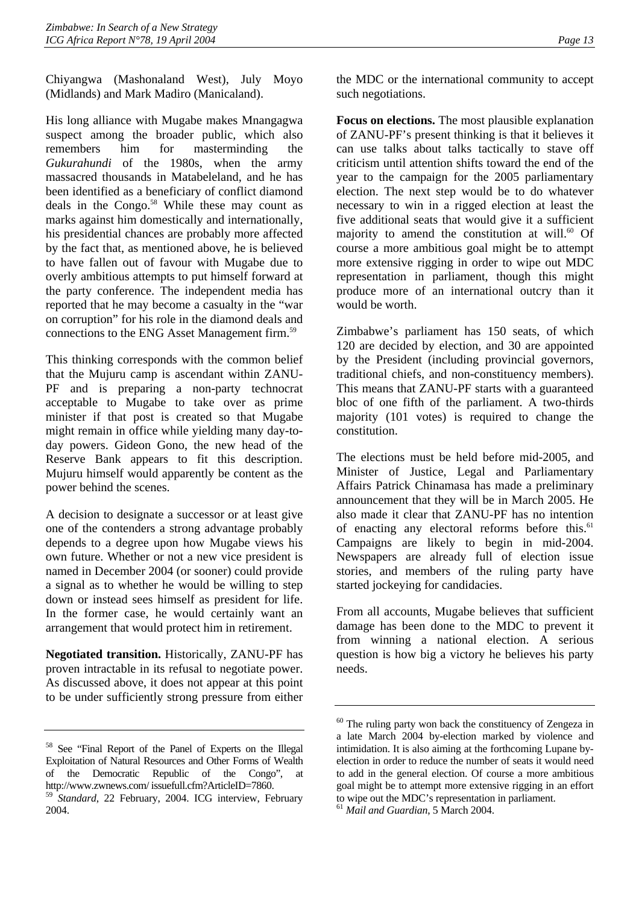Chiyangwa (Mashonaland West), July Moyo (Midlands) and Mark Madiro (Manicaland).

His long alliance with Mugabe makes Mnangagwa suspect among the broader public, which also remembers him for masterminding the *Gukurahundi* of the 1980s, when the army massacred thousands in Matabeleland, and he has been identified as a beneficiary of conflict diamond deals in the Congo.<sup>58</sup> While these may count as marks against him domestically and internationally, his presidential chances are probably more affected by the fact that, as mentioned above, he is believed to have fallen out of favour with Mugabe due to overly ambitious attempts to put himself forward at the party conference. The independent media has reported that he may become a casualty in the "war on corruption" for his role in the diamond deals and connections to the ENG Asset Management firm.[59](#page-17-1)

This thinking corresponds with the common belief that the Mujuru camp is ascendant within ZANU-PF and is preparing a non-party technocrat acceptable to Mugabe to take over as prime minister if that post is created so that Mugabe might remain in office while yielding many day-today powers. Gideon Gono, the new head of the Reserve Bank appears to fit this description. Mujuru himself would apparently be content as the power behind the scenes.

A decision to designate a successor or at least give one of the contenders a strong advantage probably depends to a degree upon how Mugabe views his own future. Whether or not a new vice president is named in December 2004 (or sooner) could provide a signal as to whether he would be willing to step down or instead sees himself as president for life. In the former case, he would certainly want an arrangement that would protect him in retirement.

**Negotiated transition.** Historically, ZANU-PF has proven intractable in its refusal to negotiate power. As discussed above, it does not appear at this point to be under sufficiently strong pressure from either the MDC or the international community to accept such negotiations.

**Focus on elections.** The most plausible explanation of ZANU-PF's present thinking is that it believes it can use talks about talks tactically to stave off criticism until attention shifts toward the end of the year to the campaign for the 2005 parliamentary election. The next step would be to do whatever necessary to win in a rigged election at least the five additional seats that would give it a sufficient majority to amend the constitution at will. $60$  Of course a more ambitious goal might be to attempt more extensive rigging in order to wipe out MDC representation in parliament, though this might produce more of an international outcry than it would be worth.

Zimbabwe's parliament has 150 seats, of which 120 are decided by election, and 30 are appointed by the President (including provincial governors, traditional chiefs, and non-constituency members). This means that ZANU-PF starts with a guaranteed bloc of one fifth of the parliament. A two-thirds majority (101 votes) is required to change the constitution.

The elections must be held before mid-2005, and Minister of Justice, Legal and Parliamentary Affairs Patrick Chinamasa has made a preliminary announcement that they will be in March 2005. He also made it clear that ZANU-PF has no intention of enacting any electoral reforms before this.<sup>61</sup> Campaigns are likely to begin in mid-2004. Newspapers are already full of election issue stories, and members of the ruling party have started jockeying for candidacies.

From all accounts, Mugabe believes that sufficient damage has been done to the MDC to prevent it from winning a national election. A serious question is how big a victory he believes his party needs.

<span id="page-17-0"></span><sup>58</sup> See "Final Report of the Panel of Experts on the Illegal Exploitation of Natural Resources and Other Forms of Wealth of the Democratic Republic of the Congo", at http://www.zwnews.com/ issuefull.cfm?ArticleID=7860.

<span id="page-17-1"></span><sup>59</sup> *Standard*, 22 February, 2004. ICG interview, February 2004.

<span id="page-17-2"></span> $60$  The ruling party won back the constituency of Zengeza in a late March 2004 by-election marked by violence and intimidation. It is also aiming at the forthcoming Lupane byelection in order to reduce the number of seats it would need to add in the general election. Of course a more ambitious goal might be to attempt more extensive rigging in an effort to wipe out the MDC's representation in parliament.

<span id="page-17-3"></span><sup>61</sup> *Mail and Guardian*, 5 March 2004.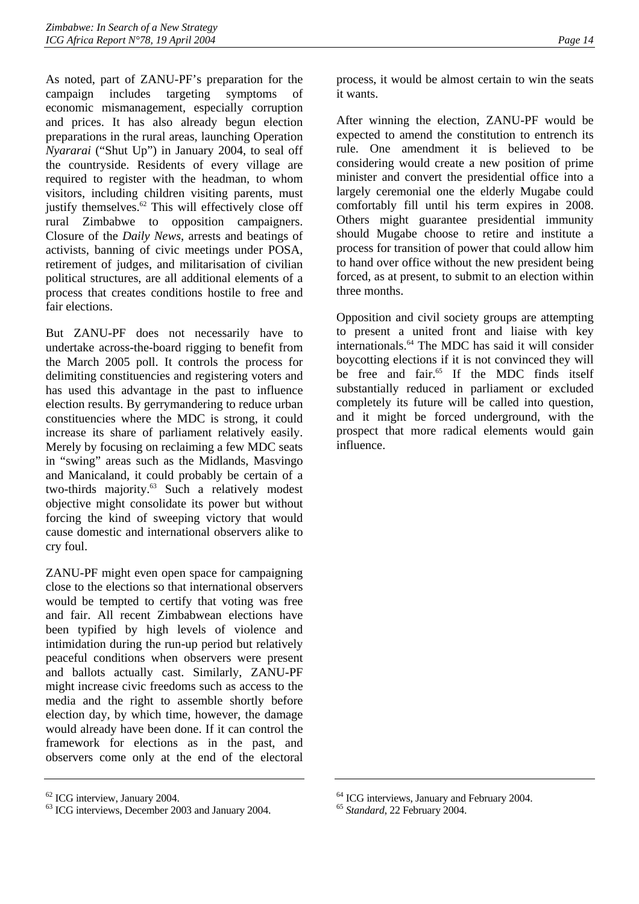As noted, part of ZANU-PF's preparation for the campaign includes targeting symptoms of economic mismanagement, especially corruption and prices. It has also already begun election preparations in the rural areas, launching Operation *Nyararai* ("Shut Up") in January 2004, to seal off the countryside. Residents of every village are required to register with the headman, to whom visitors, including children visiting parents, must justify themselves. $62$  This will effectively close off rural Zimbabwe to opposition campaigners. Closure of the *Daily News*, arrests and beatings of activists, banning of civic meetings under POSA, retirement of judges, and militarisation of civilian political structures, are all additional elements of a process that creates conditions hostile to free and fair elections.

But ZANU-PF does not necessarily have to undertake across-the-board rigging to benefit from the March 2005 poll. It controls the process for delimiting constituencies and registering voters and has used this advantage in the past to influence election results. By gerrymandering to reduce urban constituencies where the MDC is strong, it could increase its share of parliament relatively easily. Merely by focusing on reclaiming a few MDC seats in "swing" areas such as the Midlands, Masvingo and Manicaland, it could probably be certain of a two-thirds majority.<sup>63</sup> Such a relatively modest objective might consolidate its power but without forcing the kind of sweeping victory that would cause domestic and international observers alike to cry foul.

ZANU-PF might even open space for campaigning close to the elections so that international observers would be tempted to certify that voting was free and fair. All recent Zimbabwean elections have been typified by high levels of violence and intimidation during the run-up period but relatively peaceful conditions when observers were present and ballots actually cast. Similarly, ZANU-PF might increase civic freedoms such as access to the media and the right to assemble shortly before election day, by which time, however, the damage would already have been done. If it can control the framework for elections as in the past, and observers come only at the end of the electoral

process, it would be almost certain to win the seats it wants.

After winning the election, ZANU-PF would be expected to amend the constitution to entrench its rule. One amendment it is believed to be considering would create a new position of prime minister and convert the presidential office into a largely ceremonial one the elderly Mugabe could comfortably fill until his term expires in 2008. Others might guarantee presidential immunity should Mugabe choose to retire and institute a process for transition of power that could allow him to hand over office without the new president being forced, as at present, to submit to an election within three months.

Opposition and civil society groups are attempting to present a united front and liaise with key internationals.[64](#page-18-2) The MDC has said it will consider boycotting elections if it is not convinced they will be free and fair.<sup>65</sup> If the MDC finds itself substantially reduced in parliament or excluded completely its future will be called into question, and it might be forced underground, with the prospect that more radical elements would gain influence.

<span id="page-18-0"></span><sup>62</sup> ICG interview, January 2004.

<span id="page-18-1"></span><sup>&</sup>lt;sup>63</sup> ICG interviews, December 2003 and January 2004.

<span id="page-18-2"></span><sup>64</sup> ICG interviews, January and February 2004.

<span id="page-18-3"></span><sup>65</sup> *Standard,* 22 February 2004.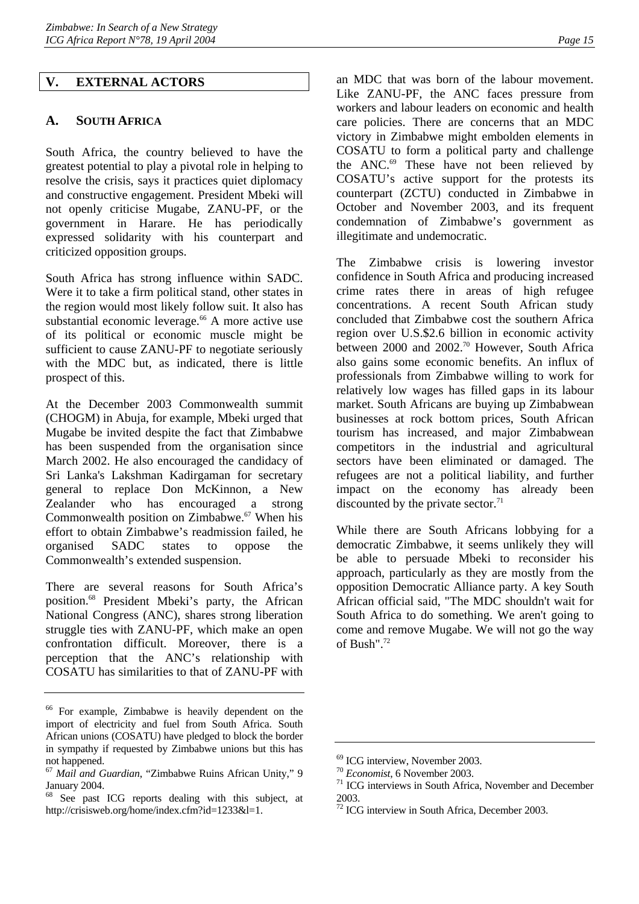# <span id="page-19-0"></span>**V. EXTERNAL ACTORS**

# <span id="page-19-1"></span>**A. SOUTH AFRICA**

South Africa, the country believed to have the greatest potential to play a pivotal role in helping to resolve the crisis, says it practices quiet diplomacy and constructive engagement. President Mbeki will not openly criticise Mugabe, ZANU-PF, or the government in Harare. He has periodically expressed solidarity with his counterpart and criticized opposition groups.

South Africa has strong influence within SADC. Were it to take a firm political stand, other states in the region would most likely follow suit. It also has substantial economic leverage.<sup>66</sup> A more active use of its political or economic muscle might be sufficient to cause ZANU-PF to negotiate seriously with the MDC but, as indicated, there is little prospect of this.

At the December 2003 Commonwealth summit (CHOGM) in Abuja, for example, Mbeki urged that Mugabe be invited despite the fact that Zimbabwe has been suspended from the organisation since March 2002. He also encouraged the candidacy of Sri Lanka's Lakshman Kadirgaman for secretary general to replace Don McKinnon, a New Zealander who has encouraged a strong Commonwealth position on Zimbabwe.<sup>67</sup> When his effort to obtain Zimbabwe's readmission failed, he organised SADC states to oppose the Commonwealth's extended suspension.

There are several reasons for South Africa's position[.68](#page-19-4) President Mbeki's party, the African National Congress (ANC), shares strong liberation struggle ties with ZANU-PF, which make an open confrontation difficult. Moreover, there is a perception that the ANC's relationship with COSATU has similarities to that of ZANU-PF with

an MDC that was born of the labour movement. Like ZANU-PF, the ANC faces pressure from workers and labour leaders on economic and health care policies. There are concerns that an MDC victory in Zimbabwe might embolden elements in COSATU to form a political party and challenge the ANC. $^{69}$  These have not been relieved by COSATU's active support for the protests its counterpart (ZCTU) conducted in Zimbabwe in October and November 2003, and its frequent condemnation of Zimbabwe's government as illegitimate and undemocratic.

The Zimbabwe crisis is lowering investor confidence in South Africa and producing increased crime rates there in areas of high refugee concentrations. A recent South African study concluded that Zimbabwe cost the southern Africa region over U.S.\$2.6 billion in economic activity between 2000 and 2002.<sup>70</sup> However, South Africa also gains some economic benefits. An influx of professionals from Zimbabwe willing to work for relatively low wages has filled gaps in its labour market. South Africans are buying up Zimbabwean businesses at rock bottom prices, South African tourism has increased, and major Zimbabwean competitors in the industrial and agricultural sectors have been eliminated or damaged. The refugees are not a political liability, and further impact on the economy has already been discounted by the private sector.<sup>[71](#page-19-7)</sup>

While there are South Africans lobbying for a democratic Zimbabwe, it seems unlikely they will be able to persuade Mbeki to reconsider his approach, particularly as they are mostly from the opposition Democratic Alliance party. A key South African official said, "The MDC shouldn't wait for South Africa to do something. We aren't going to come and remove Mugabe. We will not go the way of Bush".[72](#page-19-8) 

<span id="page-19-2"></span><sup>66</sup> For example, Zimbabwe is heavily dependent on the import of electricity and fuel from South Africa. South African unions (COSATU) have pledged to block the border in sympathy if requested by Zimbabwe unions but this has not happened.

<span id="page-19-3"></span><sup>67</sup> *Mail and Guardian*, "Zimbabwe Ruins African Unity," 9 January 2004.

<span id="page-19-4"></span><sup>68</sup> See past ICG reports dealing with this subject, at http://crisisweb.org/home/index.cfm?id=1233&l=1.

<span id="page-19-5"></span> $^{69}$  ICG interview, November 2003.<br><sup>70</sup> *Economist*, 6 November 2003.

<span id="page-19-6"></span>

<span id="page-19-7"></span><sup>&</sup>lt;sup>71</sup> ICG interviews in South Africa, November and December 2003.

<span id="page-19-8"></span><sup>&</sup>lt;sup>72</sup> ICG interview in South Africa, December 2003.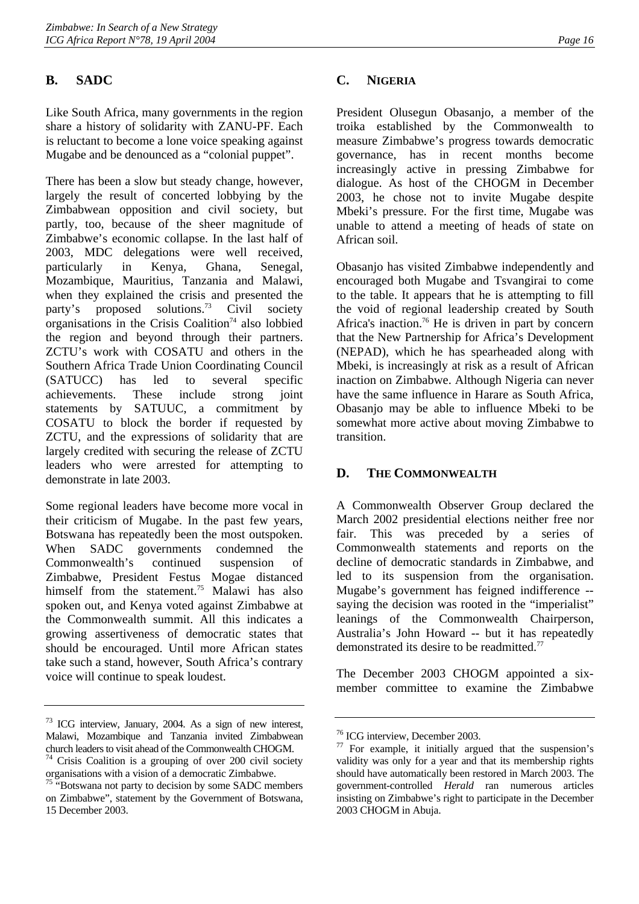# <span id="page-20-0"></span>**B. SADC**

Like South Africa, many governments in the region share a history of solidarity with ZANU-PF. Each is reluctant to become a lone voice speaking against Mugabe and be denounced as a "colonial puppet".

There has been a slow but steady change, however, largely the result of concerted lobbying by the Zimbabwean opposition and civil society, but partly, too, because of the sheer magnitude of Zimbabwe's economic collapse. In the last half of 2003, MDC delegations were well received, particularly in Kenya, Ghana, Senegal, Mozambique, Mauritius, Tanzania and Malawi, when they explained the crisis and presented the party's proposed solutions.<sup>73</sup> Civil society organisations in the Crisis Coalition<sup> $74$ </sup> also lobbied the region and beyond through their partners. ZCTU's work with COSATU and others in the Southern Africa Trade Union Coordinating Council (SATUCC) has led to several specific achievements. These include strong joint statements by SATUUC, a commitment by COSATU to block the border if requested by ZCTU, and the expressions of solidarity that are largely credited with securing the release of ZCTU leaders who were arrested for attempting to demonstrate in late 2003.

Some regional leaders have become more vocal in their criticism of Mugabe. In the past few years, Botswana has repeatedly been the most outspoken. When SADC governments condemned the Commonwealth's continued suspension of Zimbabwe, President Festus Mogae distanced himself from the statement.<sup>75</sup> Malawi has also spoken out, and Kenya voted against Zimbabwe at the Commonwealth summit. All this indicates a growing assertiveness of democratic states that should be encouraged. Until more African states take such a stand, however, South Africa's contrary voice will continue to speak loudest.

# <span id="page-20-1"></span>**C. NIGERIA**

President Olusegun Obasanjo, a member of the troika established by the Commonwealth to measure Zimbabwe's progress towards democratic governance, has in recent months become increasingly active in pressing Zimbabwe for dialogue. As host of the CHOGM in December 2003, he chose not to invite Mugabe despite Mbeki's pressure. For the first time, Mugabe was unable to attend a meeting of heads of state on African soil.

Obasanjo has visited Zimbabwe independently and encouraged both Mugabe and Tsvangirai to come to the table. It appears that he is attempting to fill the void of regional leadership created by South Africa's inaction.<sup>76</sup> He is driven in part by concern that the New Partnership for Africa's Development (NEPAD), which he has spearheaded along with Mbeki, is increasingly at risk as a result of African inaction on Zimbabwe. Although Nigeria can never have the same influence in Harare as South Africa, Obasanjo may be able to influence Mbeki to be somewhat more active about moving Zimbabwe to transition.

# <span id="page-20-2"></span>**D. THE COMMONWEALTH**

A Commonwealth Observer Group declared the March 2002 presidential elections neither free nor fair. This was preceded by a series of Commonwealth statements and reports on the decline of democratic standards in Zimbabwe, and led to its suspension from the organisation. Mugabe's government has feigned indifference - saying the decision was rooted in the "imperialist" leanings of the Commonwealth Chairperson, Australia's John Howard -- but it has repeatedly demonstrated its desire to be readmitted.<sup>77</sup>

The December 2003 CHOGM appointed a sixmember committee to examine the Zimbabwe

<span id="page-20-3"></span><sup>73</sup> ICG interview, January, 2004. As a sign of new interest, Malawi, Mozambique and Tanzania invited Zimbabwean church leaders to visit ahead of the Commonwealth CHOGM. 74 Crisis Coalition is a grouping of over 200 civil society

<span id="page-20-4"></span>organisations with a vision of a democratic Zimbabwe.

<span id="page-20-5"></span><sup>&</sup>lt;sup>75</sup> "Botswana not party to decision by some SADC members on Zimbabwe", statement by the Government of Botswana, 15 December 2003.

<span id="page-20-6"></span><sup>76</sup> ICG interview, December 2003.

<span id="page-20-7"></span> $77$  For example, it initially argued that the suspension's validity was only for a year and that its membership rights should have automatically been restored in March 2003. The government-controlled *Herald* ran numerous articles insisting on Zimbabwe's right to participate in the December 2003 CHOGM in Abuja.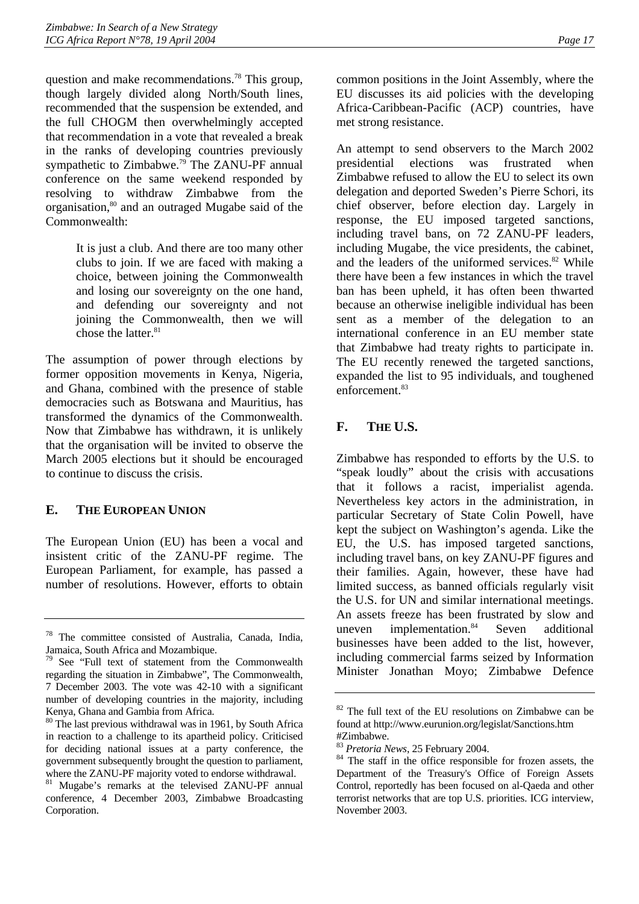question and make recommendations[.78](#page-21-2) This group, though largely divided along North/South lines, recommended that the suspension be extended, and the full CHOGM then overwhelmingly accepted that recommendation in a vote that revealed a break in the ranks of developing countries previously sympathetic to Zimbabwe.<sup>79</sup> The ZANU-PF annual conference on the same weekend responded by resolving to withdraw Zimbabwe from the organisation,<sup>80</sup> and an outraged Mugabe said of the Commonwealth:

> It is just a club. And there are too many other clubs to join. If we are faced with making a choice, between joining the Commonwealth and losing our sovereignty on the one hand, and defending our sovereignty and not joining the Commonwealth, then we will chose the latter. $81$

The assumption of power through elections by former opposition movements in Kenya, Nigeria, and Ghana, combined with the presence of stable democracies such as Botswana and Mauritius, has transformed the dynamics of the Commonwealth. Now that Zimbabwe has withdrawn, it is unlikely that the organisation will be invited to observe the March 2005 elections but it should be encouraged to continue to discuss the crisis.

# <span id="page-21-0"></span>**E. THE EUROPEAN UNION**

The European Union (EU) has been a vocal and insistent critic of the ZANU-PF regime. The European Parliament, for example, has passed a number of resolutions. However, efforts to obtain common positions in the Joint Assembly, where the EU discusses its aid policies with the developing Africa-Caribbean-Pacific (ACP) countries, have met strong resistance.

An attempt to send observers to the March 2002 presidential elections was frustrated when Zimbabwe refused to allow the EU to select its own delegation and deported Sweden's Pierre Schori, its chief observer, before election day. Largely in response, the EU imposed targeted sanctions, including travel bans, on 72 ZANU-PF leaders, including Mugabe, the vice presidents, the cabinet, and the leaders of the uniformed services. $82$  While there have been a few instances in which the travel ban has been upheld, it has often been thwarted because an otherwise ineligible individual has been sent as a member of the delegation to an international conference in an EU member state that Zimbabwe had treaty rights to participate in. The EU recently renewed the targeted sanctions, expanded the list to 95 individuals, and toughened enforcement.<sup>83</sup>

# <span id="page-21-1"></span>**F. THE U.S.**

Zimbabwe has responded to efforts by the U.S. to "speak loudly" about the crisis with accusations that it follows a racist, imperialist agenda. Nevertheless key actors in the administration, in particular Secretary of State Colin Powell, have kept the subject on Washington's agenda. Like the EU, the U.S. has imposed targeted sanctions, including travel bans, on key ZANU-PF figures and their families. Again, however, these have had limited success, as banned officials regularly visit the U.S. for UN and similar international meetings. An assets freeze has been frustrated by slow and uneven implementation. $84$  Seven additional businesses have been added to the list, however, including commercial farms seized by Information Minister Jonathan Moyo; Zimbabwe Defence

<span id="page-21-2"></span><sup>78</sup> The committee consisted of Australia, Canada, India, Jamaica, South Africa and Mozambique.

<span id="page-21-3"></span><sup>79</sup> See "Full text of statement from the Commonwealth regarding the situation in Zimbabwe", The Commonwealth, 7 December 2003. The vote was 42-10 with a significant number of developing countries in the majority, including Kenya, Ghana and Gambia from Africa.

<span id="page-21-4"></span><sup>&</sup>lt;sup>80</sup> The last previous withdrawal was in 1961, by South Africa in reaction to a challenge to its apartheid policy. Criticised for deciding national issues at a party conference, the government subsequently brought the question to parliament, where the ZANU-PF majority voted to endorse withdrawal.

<span id="page-21-5"></span><sup>81</sup> Mugabe's remarks at the televised ZANU-PF annual conference, 4 December 2003, Zimbabwe Broadcasting Corporation.

<span id="page-21-6"></span> $82$  The full text of the EU resolutions on Zimbabwe can be found at http://www.eurunion.org/legislat/Sanctions.htm

<span id="page-21-7"></span><sup>#</sup>Zimbabwe.<br><sup>83</sup> Pretoria News, 25 February 2004.

<span id="page-21-8"></span><sup>&</sup>lt;sup>84</sup> The staff in the office responsible for frozen assets, the Department of the Treasury's Office of Foreign Assets Control, reportedly has been focused on al-Qaeda and other terrorist networks that are top U.S. priorities. ICG interview, November 2003.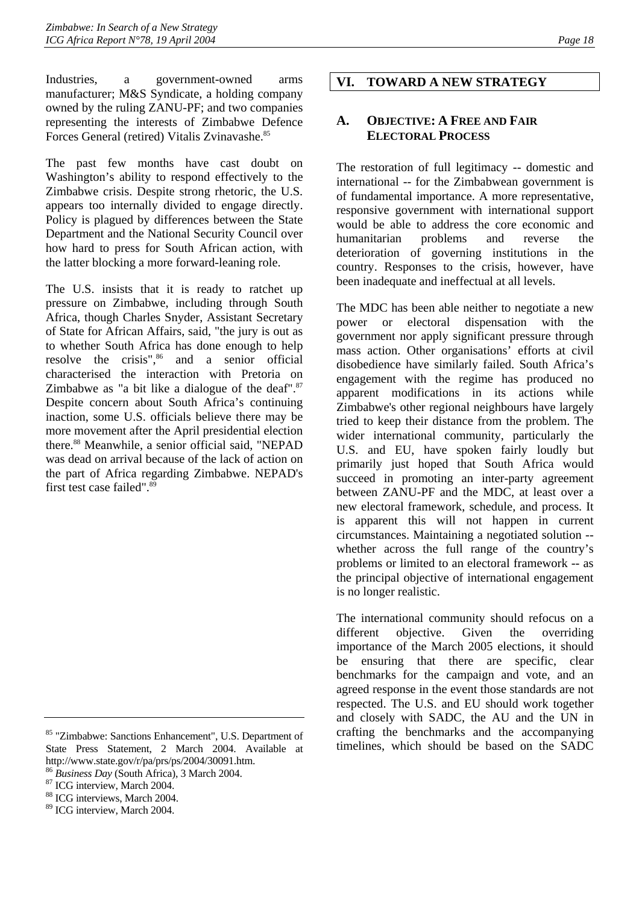Industries, a government-owned arms manufacturer; M&S Syndicate, a holding company owned by the ruling ZANU-PF; and two companies representing the interests of Zimbabwe Defence Forces General (retired) Vitalis Zvinavashe.<sup>85</sup>

The past few months have cast doubt on Washington's ability to respond effectively to the Zimbabwe crisis. Despite strong rhetoric, the U.S. appears too internally divided to engage directly. Policy is plagued by differences between the State Department and the National Security Council over how hard to press for South African action, with the latter blocking a more forward-leaning role.

The U.S. insists that it is ready to ratchet up pressure on Zimbabwe, including through South Africa, though Charles Snyder, Assistant Secretary of State for African Affairs, said, "the jury is out as to whether South Africa has done enough to help resolve the crisis",<sup>86</sup> and a senior official characterised the interaction with Pretoria on Zimbabwe as "a bit like a dialogue of the deaf". $87$ Despite concern about South Africa's continuing inaction, some U.S. officials believe there may be more movement after the April presidential election there.[88](#page-22-5) Meanwhile, a senior official said, "NEPAD was dead on arrival because of the lack of action on the part of Africa regarding Zimbabwe. NEPAD's first test case failed".<sup>89</sup>

# <span id="page-22-0"></span>**VI. TOWARD A NEW STRATEGY**

# <span id="page-22-1"></span>**A. OBJECTIVE: A FREE AND FAIR ELECTORAL PROCESS**

The restoration of full legitimacy -- domestic and international -- for the Zimbabwean government is of fundamental importance. A more representative, responsive government with international support would be able to address the core economic and humanitarian problems and reverse the deterioration of governing institutions in the country. Responses to the crisis, however, have been inadequate and ineffectual at all levels.

The MDC has been able neither to negotiate a new power or electoral dispensation with the government nor apply significant pressure through mass action. Other organisations' efforts at civil disobedience have similarly failed. South Africa's engagement with the regime has produced no apparent modifications in its actions while Zimbabwe's other regional neighbours have largely tried to keep their distance from the problem. The wider international community, particularly the U.S. and EU, have spoken fairly loudly but primarily just hoped that South Africa would succeed in promoting an inter-party agreement between ZANU-PF and the MDC, at least over a new electoral framework, schedule, and process. It is apparent this will not happen in current circumstances. Maintaining a negotiated solution - whether across the full range of the country's problems or limited to an electoral framework -- as the principal objective of international engagement is no longer realistic.

The international community should refocus on a different objective. Given the overriding importance of the March 2005 elections, it should be ensuring that there are specific, clear benchmarks for the campaign and vote, and an agreed response in the event those standards are not respected. The U.S. and EU should work together and closely with SADC, the AU and the UN in crafting the benchmarks and the accompanying timelines, which should be based on the SADC

<span id="page-22-2"></span><sup>85 &</sup>quot;Zimbabwe: Sanctions Enhancement", U.S. Department of State Press Statement, 2 March 2004. Available at http://www.state.gov/r/pa/prs/ps/2004/30091.htm.

<span id="page-22-3"></span><sup>86</sup> *Business Day* (South Africa), 3 March 2004. 87 ICG interview, March 2004.

<span id="page-22-4"></span>

<span id="page-22-5"></span><sup>88</sup> ICG interviews, March 2004.

<span id="page-22-6"></span><sup>89</sup> ICG interview, March 2004.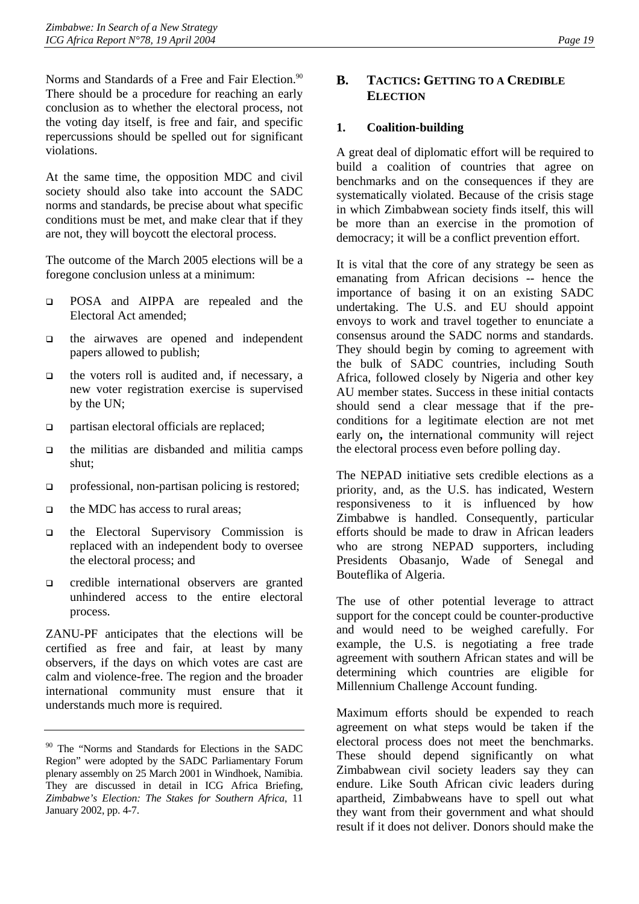Norms and Standards of a Free and Fair Election.<sup>90</sup> There should be a procedure for reaching an early conclusion as to whether the electoral process, not the voting day itself, is free and fair, and specific repercussions should be spelled out for significant violations.

At the same time, the opposition MDC and civil society should also take into account the SADC norms and standards, be precise about what specific conditions must be met, and make clear that if they are not, they will boycott the electoral process.

The outcome of the March 2005 elections will be a foregone conclusion unless at a minimum:

- **D** POSA and AIPPA are repealed and the Electoral Act amended;
- $\Box$  the airwaves are opened and independent papers allowed to publish;
- $\Box$  the voters roll is audited and, if necessary, a new voter registration exercise is supervised by the UN;
- □ partisan electoral officials are replaced;
- $\Box$  the militias are disbanded and militia camps shut;
- professional, non-partisan policing is restored;
- the MDC has access to rural areas;
- the Electoral Supervisory Commission is replaced with an independent body to oversee the electoral process; and
- credible international observers are granted unhindered access to the entire electoral process.

ZANU-PF anticipates that the elections will be certified as free and fair, at least by many observers, if the days on which votes are cast are calm and violence-free. The region and the broader international community must ensure that it understands much more is required.

# <span id="page-23-0"></span>**B. TACTICS: GETTING TO A CREDIBLE ELECTION**

# <span id="page-23-1"></span>**1. Coalition-building**

A great deal of diplomatic effort will be required to build a coalition of countries that agree on benchmarks and on the consequences if they are systematically violated. Because of the crisis stage in which Zimbabwean society finds itself, this will be more than an exercise in the promotion of democracy; it will be a conflict prevention effort.

It is vital that the core of any strategy be seen as emanating from African decisions -- hence the importance of basing it on an existing SADC undertaking. The U.S. and EU should appoint envoys to work and travel together to enunciate a consensus around the SADC norms and standards. They should begin by coming to agreement with the bulk of SADC countries, including South Africa, followed closely by Nigeria and other key AU member states. Success in these initial contacts should send a clear message that if the preconditions for a legitimate election are not met early on**,** the international community will reject the electoral process even before polling day.

The NEPAD initiative sets credible elections as a priority, and, as the U.S. has indicated, Western responsiveness to it is influenced by how Zimbabwe is handled. Consequently, particular efforts should be made to draw in African leaders who are strong NEPAD supporters, including Presidents Obasanjo, Wade of Senegal and Bouteflika of Algeria.

The use of other potential leverage to attract support for the concept could be counter-productive and would need to be weighed carefully. For example, the U.S. is negotiating a free trade agreement with southern African states and will be determining which countries are eligible for Millennium Challenge Account funding.

Maximum efforts should be expended to reach agreement on what steps would be taken if the electoral process does not meet the benchmarks. These should depend significantly on what Zimbabwean civil society leaders say they can endure. Like South African civic leaders during apartheid, Zimbabweans have to spell out what they want from their government and what should result if it does not deliver. Donors should make the

<span id="page-23-2"></span><sup>90</sup> The "Norms and Standards for Elections in the SADC Region" were adopted by the SADC Parliamentary Forum plenary assembly on 25 March 2001 in Windhoek, Namibia. They are discussed in detail in ICG Africa Briefing, *Zimbabwe's Election: The Stakes for Southern Africa*, 11 January 2002, pp. 4-7.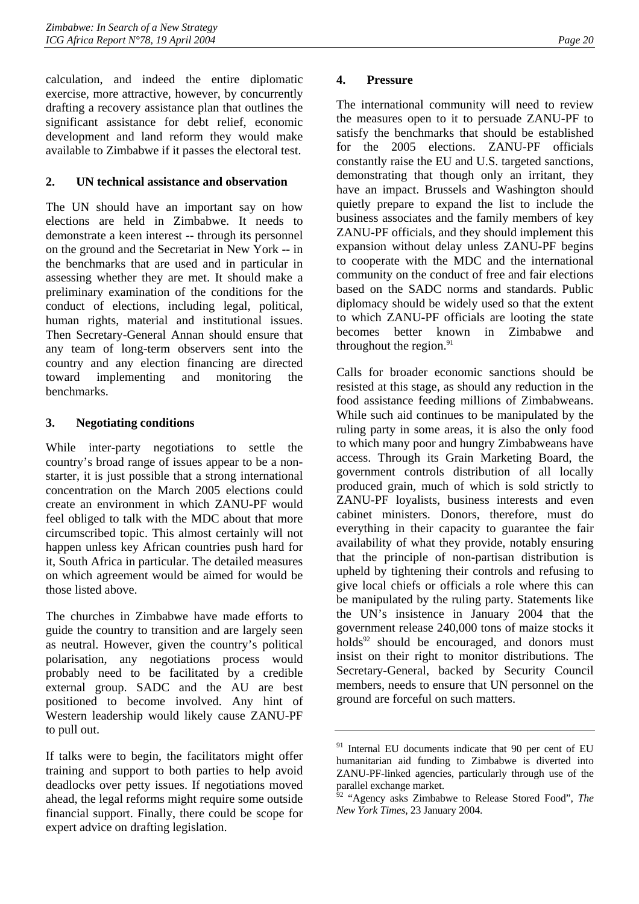calculation, and indeed the entire diplomatic exercise, more attractive, however, by concurrently drafting a recovery assistance plan that outlines the significant assistance for debt relief, economic development and land reform they would make available to Zimbabwe if it passes the electoral test.

# <span id="page-24-0"></span>**2. UN technical assistance and observation**

The UN should have an important say on how elections are held in Zimbabwe. It needs to demonstrate a keen interest -- through its personnel on the ground and the Secretariat in New York -- in the benchmarks that are used and in particular in assessing whether they are met. It should make a preliminary examination of the conditions for the conduct of elections, including legal, political, human rights, material and institutional issues. Then Secretary-General Annan should ensure that any team of long-term observers sent into the country and any election financing are directed toward implementing and monitoring the benchmarks.

# <span id="page-24-1"></span>**3. Negotiating conditions**

While inter-party negotiations to settle the country's broad range of issues appear to be a nonstarter, it is just possible that a strong international concentration on the March 2005 elections could create an environment in which ZANU-PF would feel obliged to talk with the MDC about that more circumscribed topic. This almost certainly will not happen unless key African countries push hard for it, South Africa in particular. The detailed measures on which agreement would be aimed for would be those listed above.

The churches in Zimbabwe have made efforts to guide the country to transition and are largely seen as neutral. However, given the country's political polarisation, any negotiations process would probably need to be facilitated by a credible external group. SADC and the AU are best positioned to become involved. Any hint of Western leadership would likely cause ZANU-PF to pull out.

If talks were to begin, the facilitators might offer training and support to both parties to help avoid deadlocks over petty issues. If negotiations moved ahead, the legal reforms might require some outside financial support. Finally, there could be scope for expert advice on drafting legislation.

### <span id="page-24-2"></span>**4. Pressure**

The international community will need to review the measures open to it to persuade ZANU-PF to satisfy the benchmarks that should be established for the 2005 elections. ZANU-PF officials constantly raise the EU and U.S. targeted sanctions, demonstrating that though only an irritant, they have an impact. Brussels and Washington should quietly prepare to expand the list to include the business associates and the family members of key ZANU-PF officials, and they should implement this expansion without delay unless ZANU-PF begins to cooperate with the MDC and the international community on the conduct of free and fair elections based on the SADC norms and standards. Public diplomacy should be widely used so that the extent to which ZANU-PF officials are looting the state becomes better known in Zimbabwe and throughout the region. $91$ 

Calls for broader economic sanctions should be resisted at this stage, as should any reduction in the food assistance feeding millions of Zimbabweans. While such aid continues to be manipulated by the ruling party in some areas, it is also the only food to which many poor and hungry Zimbabweans have access. Through its Grain Marketing Board, the government controls distribution of all locally produced grain, much of which is sold strictly to ZANU-PF loyalists, business interests and even cabinet ministers. Donors, therefore, must do everything in their capacity to guarantee the fair availability of what they provide, notably ensuring that the principle of non-partisan distribution is upheld by tightening their controls and refusing to give local chiefs or officials a role where this can be manipulated by the ruling party. Statements like the UN's insistence in January 2004 that the government release 240,000 tons of maize stocks it holds $92$  should be encouraged, and donors must insist on their right to monitor distributions. The Secretary-General, backed by Security Council members, needs to ensure that UN personnel on the ground are forceful on such matters.

<span id="page-24-3"></span><sup>&</sup>lt;sup>91</sup> Internal EU documents indicate that 90 per cent of EU humanitarian aid funding to Zimbabwe is diverted into ZANU-PF-linked agencies, particularly through use of the parallel exchange market.

<span id="page-24-4"></span><sup>&</sup>quot;Agency asks Zimbabwe to Release Stored Food", *The New York Times*, 23 January 2004.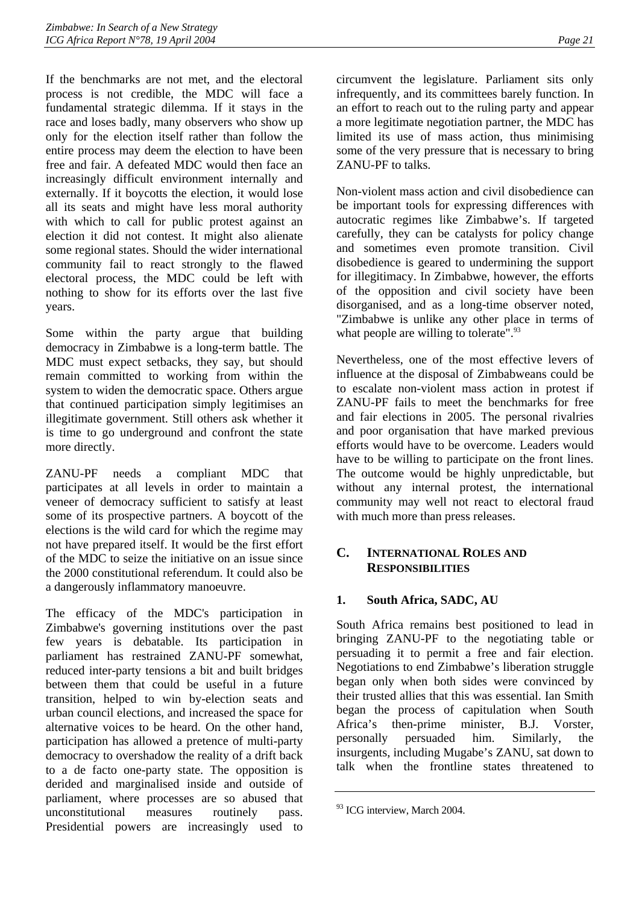If the benchmarks are not met, and the electoral process is not credible, the MDC will face a fundamental strategic dilemma. If it stays in the race and loses badly, many observers who show up only for the election itself rather than follow the entire process may deem the election to have been free and fair. A defeated MDC would then face an increasingly difficult environment internally and externally. If it boycotts the election, it would lose all its seats and might have less moral authority with which to call for public protest against an election it did not contest. It might also alienate some regional states. Should the wider international community fail to react strongly to the flawed electoral process, the MDC could be left with nothing to show for its efforts over the last five years.

Some within the party argue that building democracy in Zimbabwe is a long-term battle. The MDC must expect setbacks, they say, but should remain committed to working from within the system to widen the democratic space. Others argue that continued participation simply legitimises an illegitimate government. Still others ask whether it is time to go underground and confront the state more directly.

ZANU-PF needs a compliant MDC that participates at all levels in order to maintain a veneer of democracy sufficient to satisfy at least some of its prospective partners. A boycott of the elections is the wild card for which the regime may not have prepared itself. It would be the first effort of the MDC to seize the initiative on an issue since the 2000 constitutional referendum. It could also be a dangerously inflammatory manoeuvre.

The efficacy of the MDC's participation in Zimbabwe's governing institutions over the past few years is debatable. Its participation in parliament has restrained ZANU-PF somewhat, reduced inter-party tensions a bit and built bridges between them that could be useful in a future transition, helped to win by-election seats and urban council elections, and increased the space for alternative voices to be heard. On the other hand, participation has allowed a pretence of multi-party democracy to overshadow the reality of a drift back to a de facto one-party state. The opposition is derided and marginalised inside and outside of parliament, where processes are so abused that unconstitutional measures routinely pass. Presidential powers are increasingly used to circumvent the legislature. Parliament sits only infrequently, and its committees barely function. In an effort to reach out to the ruling party and appear a more legitimate negotiation partner, the MDC has limited its use of mass action, thus minimising some of the very pressure that is necessary to bring ZANU-PF to talks.

Non-violent mass action and civil disobedience can be important tools for expressing differences with autocratic regimes like Zimbabwe's. If targeted carefully, they can be catalysts for policy change and sometimes even promote transition. Civil disobedience is geared to undermining the support for illegitimacy. In Zimbabwe, however, the efforts of the opposition and civil society have been disorganised, and as a long-time observer noted, "Zimbabwe is unlike any other place in terms of what people are willing to tolerate".<sup>93</sup>

Nevertheless, one of the most effective levers of influence at the disposal of Zimbabweans could be to escalate non-violent mass action in protest if ZANU-PF fails to meet the benchmarks for free and fair elections in 2005. The personal rivalries and poor organisation that have marked previous efforts would have to be overcome. Leaders would have to be willing to participate on the front lines. The outcome would be highly unpredictable, but without any internal protest, the international community may well not react to electoral fraud with much more than press releases.

# <span id="page-25-0"></span>**C. INTERNATIONAL ROLES AND RESPONSIBILITIES**

# <span id="page-25-1"></span>**1. South Africa, SADC, AU**

South Africa remains best positioned to lead in bringing ZANU-PF to the negotiating table or persuading it to permit a free and fair election. Negotiations to end Zimbabwe's liberation struggle began only when both sides were convinced by their trusted allies that this was essential. Ian Smith began the process of capitulation when South Africa's then-prime minister, B.J. Vorster, personally persuaded him. Similarly, the insurgents, including Mugabe's ZANU, sat down to talk when the frontline states threatened to

<span id="page-25-2"></span><sup>&</sup>lt;sup>93</sup> ICG interview, March 2004.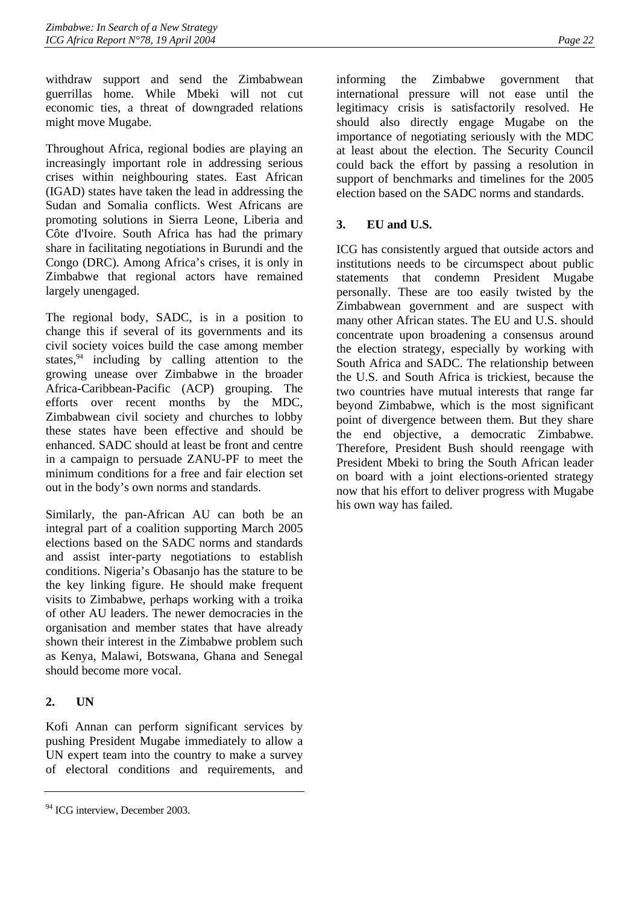withdraw support and send the Zimbabwean guerrillas home. While Mbeki will not cut economic ties, a threat of downgraded relations might move Mugabe.

Throughout Africa, regional bodies are playing an increasingly important role in addressing serious crises within neighbouring states. East African (IGAD) states have taken the lead in addressing the Sudan and Somalia conflicts. West Africans are promoting solutions in Sierra Leone, Liberia and Côte d'Ivoire. South Africa has had the primary share in facilitating negotiations in Burundi and the Congo (DRC). Among Africa's crises, it is only in Zimbabwe that regional actors have remained largely unengaged.

The regional body, SADC, is in a position to change this if several of its governments and its civil society voices build the case among member states, $94$  including by calling attention to the growing unease over Zimbabwe in the broader Africa-Caribbean-Pacific (ACP) grouping. The efforts over recent months by the MDC, Zimbabwean civil society and churches to lobby these states have been effective and should be enhanced. SADC should at least be front and centre in a campaign to persuade ZANU-PF to meet the minimum conditions for a free and fair election set out in the body's own norms and standards.

Similarly, the pan-African AU can both be an integral part of a coalition supporting March 2005 elections based on the SADC norms and standards and assist inter-party negotiations to establish conditions. Nigeria's Obasanjo has the stature to be the key linking figure. He should make frequent visits to Zimbabwe, perhaps working with a troika of other AU leaders. The newer democracies in the organisation and member states that have already shown their interest in the Zimbabwe problem such as Kenya, Malawi, Botswana, Ghana and Senegal should become more vocal.

# <span id="page-26-0"></span>**2. UN**

Kofi Annan can perform significant services by pushing President Mugabe immediately to allow a UN expert team into the country to make a survey of electoral conditions and requirements, and

informing the Zimbabwe government that international pressure will not ease until the legitimacy crisis is satisfactorily resolved. He should also directly engage Mugabe on the importance of negotiating seriously with the MDC at least about the election. The Security Council could back the effort by passing a resolution in support of benchmarks and timelines for the 2005 election based on the SADC norms and standards.

# <span id="page-26-1"></span>**3. EU and U.S.**

ICG has consistently argued that outside actors and institutions needs to be circumspect about public statements that condemn President Mugabe personally. These are too easily twisted by the Zimbabwean government and are suspect with many other African states. The EU and U.S. should concentrate upon broadening a consensus around the election strategy, especially by working with South Africa and SADC. The relationship between the U.S. and South Africa is trickiest, because the two countries have mutual interests that range far beyond Zimbabwe, which is the most significant point of divergence between them. But they share the end objective, a democratic Zimbabwe. Therefore, President Bush should reengage with President Mbeki to bring the South African leader on board with a joint elections-oriented strategy now that his effort to deliver progress with Mugabe his own way has failed.

<span id="page-26-2"></span><sup>&</sup>lt;sup>94</sup> ICG interview, December 2003.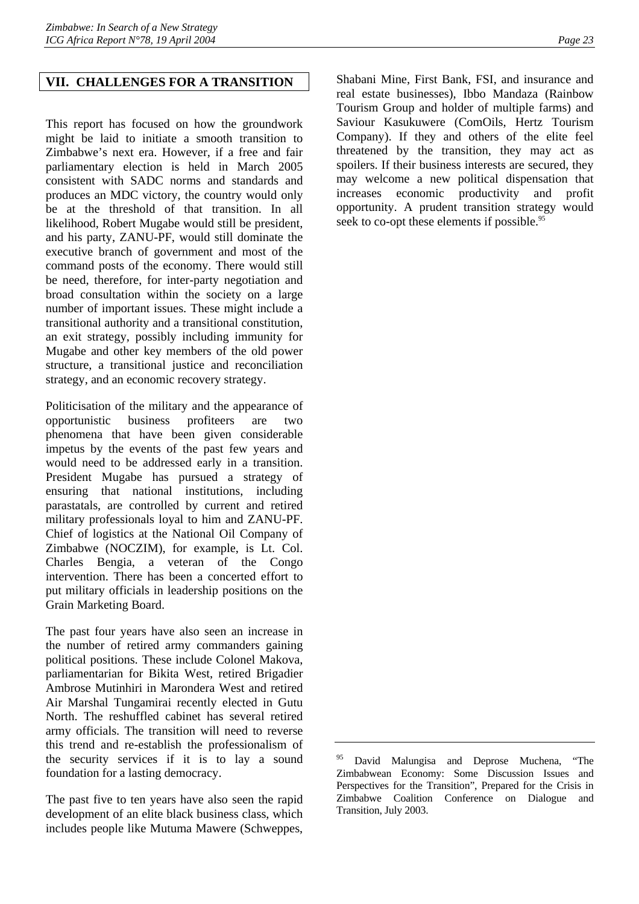### <span id="page-27-0"></span>**VII. CHALLENGES FOR A TRANSITION**

This report has focused on how the groundwork might be laid to initiate a smooth transition to Zimbabwe's next era. However, if a free and fair parliamentary election is held in March 2005 consistent with SADC norms and standards and produces an MDC victory, the country would only be at the threshold of that transition. In all likelihood, Robert Mugabe would still be president, and his party, ZANU-PF, would still dominate the executive branch of government and most of the command posts of the economy. There would still be need, therefore, for inter-party negotiation and broad consultation within the society on a large number of important issues. These might include a transitional authority and a transitional constitution, an exit strategy, possibly including immunity for Mugabe and other key members of the old power structure, a transitional justice and reconciliation strategy, and an economic recovery strategy.

Politicisation of the military and the appearance of opportunistic business profiteers are two phenomena that have been given considerable impetus by the events of the past few years and would need to be addressed early in a transition. President Mugabe has pursued a strategy of ensuring that national institutions, including parastatals, are controlled by current and retired military professionals loyal to him and ZANU-PF. Chief of logistics at the National Oil Company of Zimbabwe (NOCZIM), for example, is Lt. Col. Charles Bengia, a veteran of the Congo intervention. There has been a concerted effort to put military officials in leadership positions on the Grain Marketing Board.

The past four years have also seen an increase in the number of retired army commanders gaining political positions. These include Colonel Makova, parliamentarian for Bikita West, retired Brigadier Ambrose Mutinhiri in Marondera West and retired Air Marshal Tungamirai recently elected in Gutu North. The reshuffled cabinet has several retired army officials. The transition will need to reverse this trend and re-establish the professionalism of the security services if it is to lay a sound foundation for a lasting democracy.

The past five to ten years have also seen the rapid development of an elite black business class, which includes people like Mutuma Mawere (Schweppes,

Shabani Mine, First Bank, FSI, and insurance and real estate businesses), Ibbo Mandaza (Rainbow Tourism Group and holder of multiple farms) and Saviour Kasukuwere (ComOils, Hertz Tourism Company). If they and others of the elite feel threatened by the transition, they may act as spoilers. If their business interests are secured, they may welcome a new political dispensation that increases economic productivity and profit opportunity. A prudent transition strategy would seek to co-opt these elements if possible.<sup>95</sup>

<span id="page-27-1"></span>David Malungisa and Deprose Muchena, "The Zimbabwean Economy: Some Discussion Issues and Perspectives for the Transition", Prepared for the Crisis in Zimbabwe Coalition Conference on Dialogue and Transition, July 2003.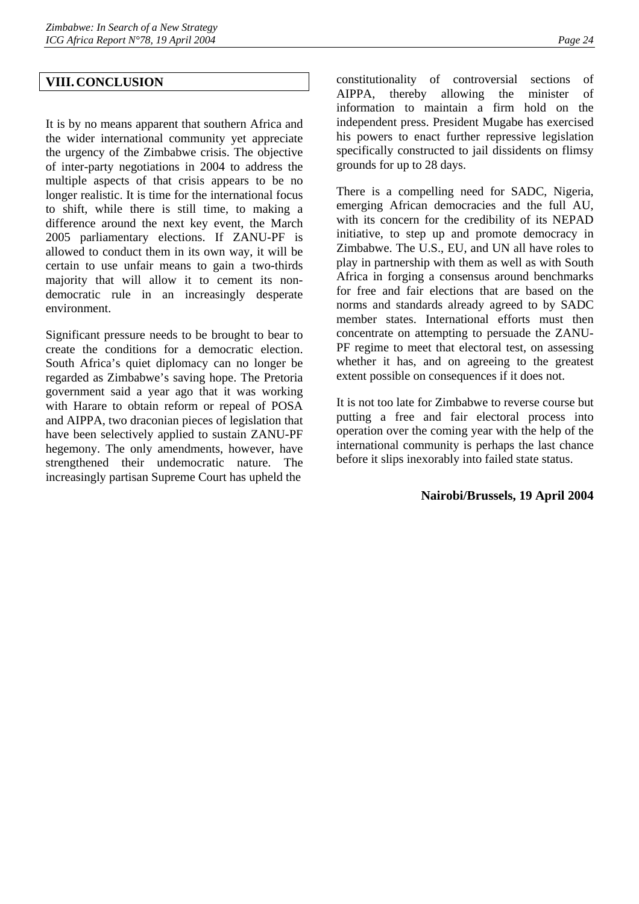# <span id="page-28-0"></span>**VIII.CONCLUSION**

It is by no means apparent that southern Africa and the wider international community yet appreciate the urgency of the Zimbabwe crisis. The objective of inter-party negotiations in 2004 to address the multiple aspects of that crisis appears to be no longer realistic. It is time for the international focus to shift, while there is still time, to making a difference around the next key event, the March 2005 parliamentary elections. If ZANU-PF is allowed to conduct them in its own way, it will be certain to use unfair means to gain a two-thirds majority that will allow it to cement its nondemocratic rule in an increasingly desperate environment.

Significant pressure needs to be brought to bear to create the conditions for a democratic election. South Africa's quiet diplomacy can no longer be regarded as Zimbabwe's saving hope. The Pretoria government said a year ago that it was working with Harare to obtain reform or repeal of POSA and AIPPA, two draconian pieces of legislation that have been selectively applied to sustain ZANU-PF hegemony. The only amendments, however, have strengthened their undemocratic nature. The increasingly partisan Supreme Court has upheld the

constitutionality of controversial sections of AIPPA, thereby allowing the minister of information to maintain a firm hold on the independent press. President Mugabe has exercised his powers to enact further repressive legislation specifically constructed to jail dissidents on flimsy grounds for up to 28 days.

There is a compelling need for SADC, Nigeria, emerging African democracies and the full AU, with its concern for the credibility of its NEPAD initiative, to step up and promote democracy in Zimbabwe. The U.S., EU, and UN all have roles to play in partnership with them as well as with South Africa in forging a consensus around benchmarks for free and fair elections that are based on the norms and standards already agreed to by SADC member states. International efforts must then concentrate on attempting to persuade the ZANU-PF regime to meet that electoral test, on assessing whether it has, and on agreeing to the greatest extent possible on consequences if it does not.

It is not too late for Zimbabwe to reverse course but putting a free and fair electoral process into operation over the coming year with the help of the international community is perhaps the last chance before it slips inexorably into failed state status.

### **Nairobi/Brussels, 19 April 2004**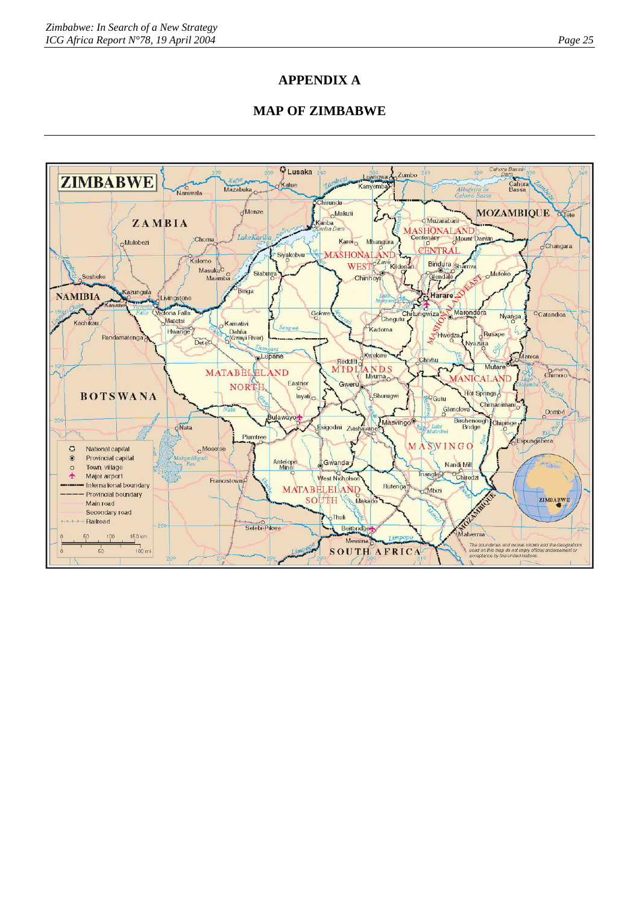# **APPENDIX A**

# **MAP OF ZIMBABWE**

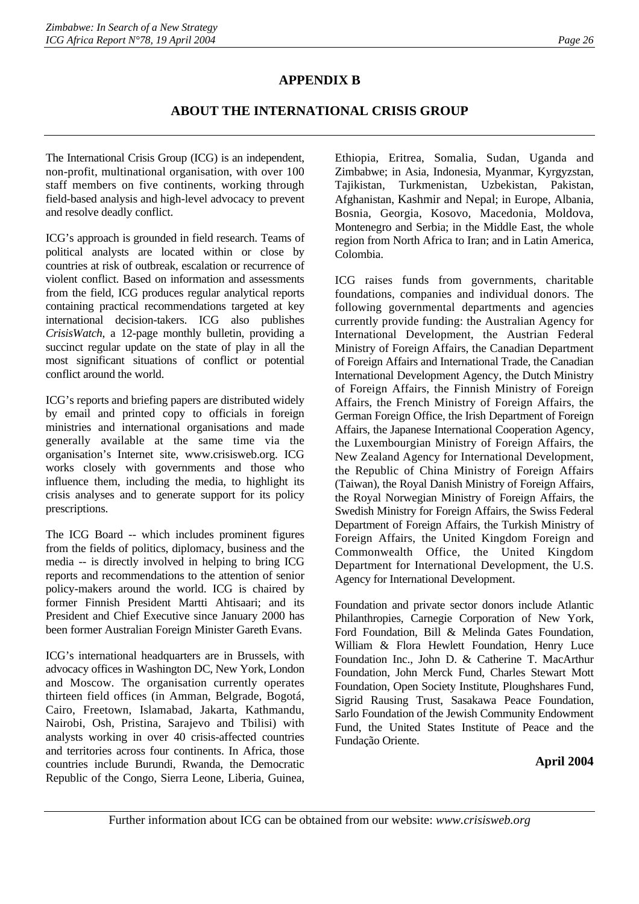# **APPENDIX B**

# **ABOUT THE INTERNATIONAL CRISIS GROUP**

The International Crisis Group (ICG) is an independent, non-profit, multinational organisation, with over 100 staff members on five continents, working through field-based analysis and high-level advocacy to prevent and resolve deadly conflict.

ICG's approach is grounded in field research. Teams of political analysts are located within or close by countries at risk of outbreak, escalation or recurrence of violent conflict. Based on information and assessments from the field, ICG produces regular analytical reports containing practical recommendations targeted at key international decision-takers. ICG also publishes *CrisisWatch*, a 12-page monthly bulletin, providing a succinct regular update on the state of play in all the most significant situations of conflict or potential conflict around the world.

ICG's reports and briefing papers are distributed widely by email and printed copy to officials in foreign ministries and international organisations and made generally available at the same time via the organisation's Internet site, www.crisisweb.org. ICG works closely with governments and those who influence them, including the media, to highlight its crisis analyses and to generate support for its policy prescriptions.

The ICG Board -- which includes prominent figures from the fields of politics, diplomacy, business and the media -- is directly involved in helping to bring ICG reports and recommendations to the attention of senior policy-makers around the world. ICG is chaired by former Finnish President Martti Ahtisaari; and its President and Chief Executive since January 2000 has been former Australian Foreign Minister Gareth Evans.

ICG's international headquarters are in Brussels, with advocacy offices in Washington DC, New York, London and Moscow. The organisation currently operates thirteen field offices (in Amman, Belgrade, Bogotá, Cairo, Freetown, Islamabad, Jakarta, Kathmandu, Nairobi, Osh, Pristina, Sarajevo and Tbilisi) with analysts working in over 40 crisis-affected countries and territories across four continents. In Africa, those countries include Burundi, Rwanda, the Democratic Republic of the Congo, Sierra Leone, Liberia, Guinea, Ethiopia, Eritrea, Somalia, Sudan, Uganda and Zimbabwe; in Asia, Indonesia, Myanmar, Kyrgyzstan, Tajikistan, Turkmenistan, Uzbekistan, Pakistan, Afghanistan, Kashmir and Nepal; in Europe, Albania, Bosnia, Georgia, Kosovo, Macedonia, Moldova, Montenegro and Serbia; in the Middle East, the whole region from North Africa to Iran; and in Latin America, Colombia.

ICG raises funds from governments, charitable foundations, companies and individual donors. The following governmental departments and agencies currently provide funding: the Australian Agency for International Development, the Austrian Federal Ministry of Foreign Affairs, the Canadian Department of Foreign Affairs and International Trade, the Canadian International Development Agency, the Dutch Ministry of Foreign Affairs, the Finnish Ministry of Foreign Affairs, the French Ministry of Foreign Affairs, the German Foreign Office, the Irish Department of Foreign Affairs, the Japanese International Cooperation Agency, the Luxembourgian Ministry of Foreign Affairs, the New Zealand Agency for International Development, the Republic of China Ministry of Foreign Affairs (Taiwan), the Royal Danish Ministry of Foreign Affairs, the Royal Norwegian Ministry of Foreign Affairs, the Swedish Ministry for Foreign Affairs, the Swiss Federal Department of Foreign Affairs, the Turkish Ministry of Foreign Affairs, the United Kingdom Foreign and Commonwealth Office, the United Kingdom Department for International Development, the U.S. Agency for International Development.

Foundation and private sector donors include Atlantic Philanthropies, Carnegie Corporation of New York, Ford Foundation, Bill & Melinda Gates Foundation, William & Flora Hewlett Foundation, Henry Luce Foundation Inc., John D. & Catherine T. MacArthur Foundation, John Merck Fund, Charles Stewart Mott Foundation, Open Society Institute, Ploughshares Fund, Sigrid Rausing Trust, Sasakawa Peace Foundation, Sarlo Foundation of the Jewish Community Endowment Fund, the United States Institute of Peace and the Fundação Oriente.

### **April 2004**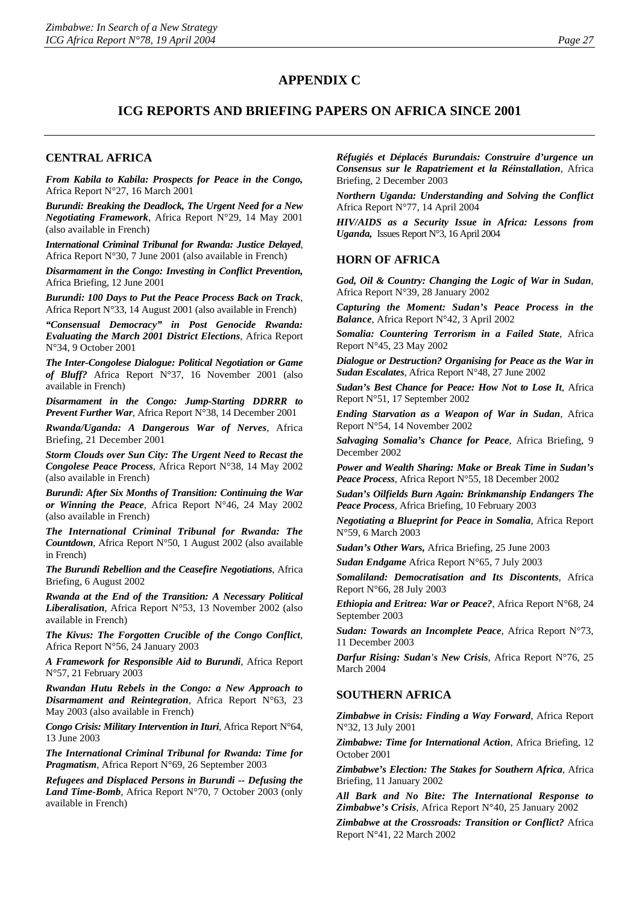# **APPENDIX C**

# **ICG REPORTS AND BRIEFING PAPERS ON AFRICA SINCE 2001**

### **CENTRAL AFRICA**

*From Kabila to Kabila: Prospects for Peace in the Congo,* Africa Report N°27, 16 March 2001

*Burundi: Breaking the Deadlock, The Urgent Need for a New Negotiating Framework*, Africa Report N°29, 14 May 2001 (also available in French)

*International Criminal Tribunal for Rwanda: Justice Delayed*, Africa Report N°30, 7 June 2001 (also available in French)

*Disarmament in the Congo: Investing in Conflict Prevention,* Africa Briefing, 12 June 2001

*Burundi: 100 Days to Put the Peace Process Back on Track*, Africa Report N°33, 14 August 2001 (also available in French)

*"Consensual Democracy" in Post Genocide Rwanda: Evaluating the March 2001 District Elections*, Africa Report N°34, 9 October 2001

*The Inter-Congolese Dialogue: Political Negotiation or Game of Bluff?* Africa Report N°37, 16 November 2001 (also available in French)

*Disarmament in the Congo: Jump-Starting DDRRR to Prevent Further War*, Africa Report N°38, 14 December 2001

*Rwanda/Uganda: A Dangerous War of Nerves*, Africa Briefing, 21 December 2001

*Storm Clouds over Sun City: The Urgent Need to Recast the Congolese Peace Process*, Africa Report N°38, 14 May 2002 (also available in French)

*Burundi: After Six Months of Transition: Continuing the War or Winning the Peace*, Africa Report N°46, 24 May 2002 (also available in French)

*The International Criminal Tribunal for Rwanda: The Countdown*, Africa Report N°50, 1 August 2002 (also available in French)

*The Burundi Rebellion and the Ceasefire Negotiations*, Africa Briefing, 6 August 2002

*Rwanda at the End of the Transition: A Necessary Political Liberalisation*, Africa Report N°53, 13 November 2002 (also available in French)

*The Kivus: The Forgotten Crucible of the Congo Conflict*, Africa Report N°56, 24 January 2003

*A Framework for Responsible Aid to Burundi*, Africa Report N°57, 21 February 2003

*Rwandan Hutu Rebels in the Congo: a New Approach to Disarmament and Reintegration,* Africa Report N°63, 23 May 2003 (also available in French)

*Congo Crisis: Military Intervention in Ituri*, Africa Report N°64, 13 June 2003

*The International Criminal Tribunal for Rwanda: Time for Pragmatism*, Africa Report N°69, 26 September 2003

*Refugees and Displaced Persons in Burundi -- Defusing the Land Time-Bomb*, Africa Report N°70, 7 October 2003 (only available in French)

*Réfugiés et Déplacés Burundais: Construire d'urgence un Consensus sur le Rapatriement et la Réinstallation*, Africa Briefing, 2 December 2003

*Northern Uganda: Understanding and Solving the Conflict*  Africa Report N°77, 14 April 2004

*HIV/AIDS as a Security Issue in Africa: Lessons from Uganda,* Issues Report N°3, 16 April 2004

### **HORN OF AFRICA**

*God, Oil & Country: Changing the Logic of War in Sudan*, Africa Report N°39, 28 January 2002

*Capturing the Moment: Sudan's Peace Process in the Balance*, Africa Report N°42, 3 April 2002

*Somalia: Countering Terrorism in a Failed State*, Africa Report N°45, 23 May 2002

*Dialogue or Destruction? Organising for Peace as the War in Sudan Escalates*, Africa Report N°48, 27 June 2002

*Sudan's Best Chance for Peace: How Not to Lose It*, Africa Report N°51, 17 September 2002

*Ending Starvation as a Weapon of War in Sudan*, Africa Report N°54, 14 November 2002

*Salvaging Somalia's Chance for Peace*, Africa Briefing, 9 December 2002

*Power and Wealth Sharing: Make or Break Time in Sudan's Peace Process,* Africa Report N°55, 18 December 2002

*Sudan's Oilfields Burn Again: Brinkmanship Endangers The Peace Process*, Africa Briefing, 10 February 2003

*Negotiating a Blueprint for Peace in Somalia*, Africa Report N°59, 6 March 2003

*Sudan's Other Wars,* Africa Briefing, 25 June 2003

*Sudan Endgame* Africa Report N°65, 7 July 2003

*Somaliland: Democratisation and Its Discontents*, Africa Report N°66, 28 July 2003

*Ethiopia and Eritrea: War or Peace?*, Africa Report N°68, 24 September 2003

*Sudan: Towards an Incomplete Peace*, Africa Report N°73, 11 December 2003

*Darfur Rising: Sudan's New Crisis*, Africa Report N°76, 25 March 2004

### **SOUTHERN AFRICA**

*Zimbabwe in Crisis: Finding a Way Forward*, Africa Report N°32, 13 July 2001

*Zimbabwe: Time for International Action*, Africa Briefing, 12 October 2001

*Zimbabwe's Election: The Stakes for Southern Africa*, Africa Briefing, 11 January 2002

*All Bark and No Bite: The International Response to Zimbabwe's Crisis*, Africa Report N°40, 25 January 2002

*Zimbabwe at the Crossroads: Transition or Conflict?* Africa Report N°41, 22 March 2002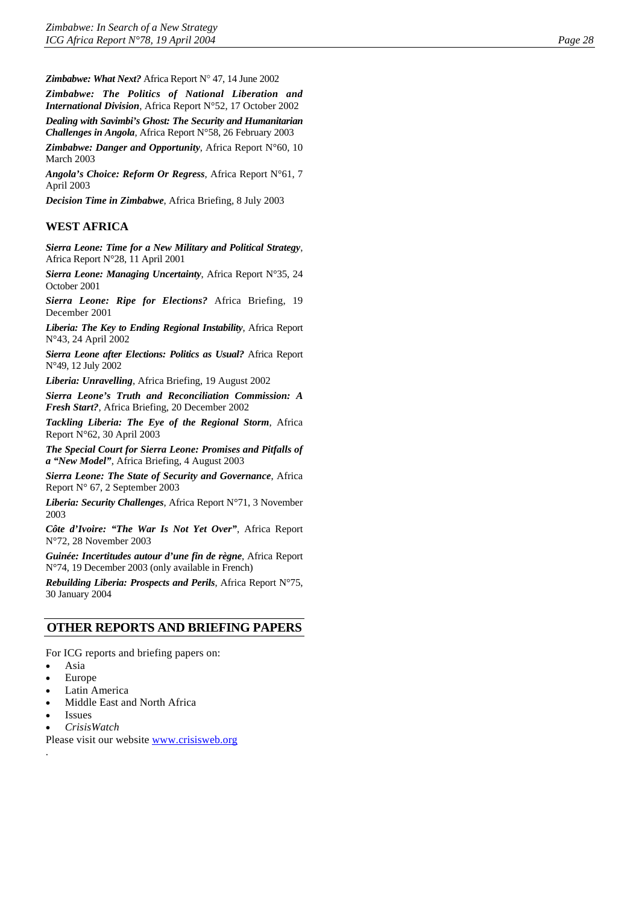*Zimbabwe: What Next?* Africa Report N° 47, 14 June 2002

*Zimbabwe: The Politics of National Liberation and International Division*, Africa Report N°52, 17 October 2002 *Dealing with Savimbi's Ghost: The Security and Humanitarian Challenges in Angola*, Africa Report N°58, 26 February 2003

*Zimbabwe: Danger and Opportunity*, Africa Report N°60, 10 March 2003

*Angola's Choice: Reform Or Regress*, Africa Report N°61, 7 April 2003

*Decision Time in Zimbabwe*, Africa Briefing, 8 July 2003

### **WEST AFRICA**

*Sierra Leone: Time for a New Military and Political Strategy*, Africa Report N°28, 11 April 2001

*Sierra Leone: Managing Uncertainty*, Africa Report N°35, 24 October 2001

*Sierra Leone: Ripe for Elections?* Africa Briefing, 19 December 2001

*Liberia: The Key to Ending Regional Instability*, Africa Report N°43, 24 April 2002

*Sierra Leone after Elections: Politics as Usual?* Africa Report N°49, 12 July 2002

*Liberia: Unravelling*, Africa Briefing, 19 August 2002

*Sierra Leone's Truth and Reconciliation Commission: A Fresh Start?*, Africa Briefing, 20 December 2002

*Tackling Liberia: The Eye of the Regional Storm*, Africa Report N°62, 30 April 2003

*The Special Court for Sierra Leone: Promises and Pitfalls of a "New Model"*, Africa Briefing, 4 August 2003

*Sierra Leone: The State of Security and Governance*, Africa Report N° 67, 2 September 2003

*Liberia: Security Challenges*, Africa Report N°71, 3 November 2003

*Côte d'Ivoire: "The War Is Not Yet Over"*, Africa Report N°72, 28 November 2003

*Guinée: Incertitudes autour d'une fin de règne*, Africa Report N°74, 19 December 2003 (only available in French)

*Rebuilding Liberia: Prospects and Perils*, Africa Report N°75, 30 January 2004

### **OTHER REPORTS AND BRIEFING PAPERS**

For ICG reports and briefing papers on:

- Asia
- Europe
- Latin America
- Middle East and North Africa
- **Issues**

.

• *CrisisWatch*

Please visit our website [www.crisisweb.org](http://www.crisisweb.org/)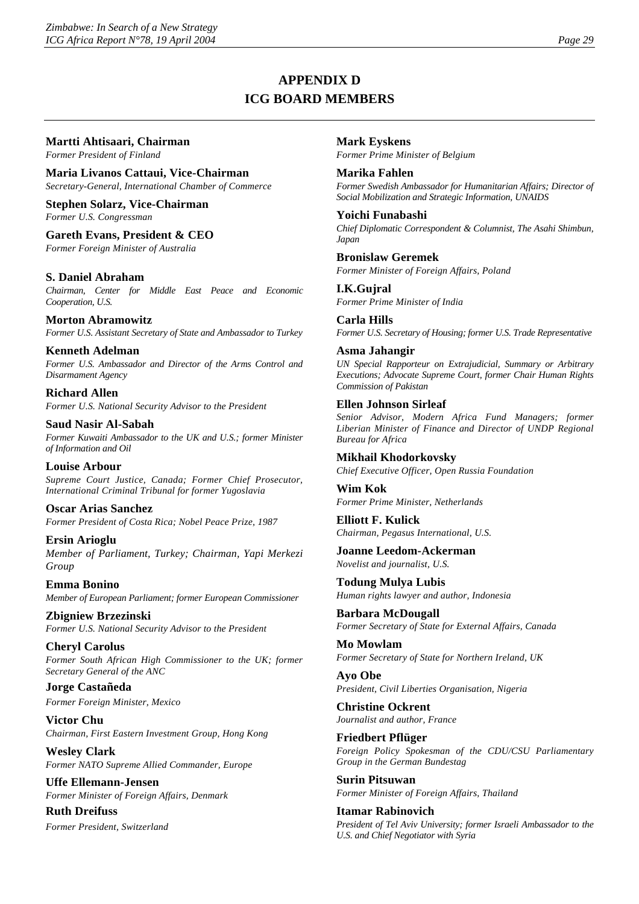# **APPENDIX D ICG BOARD MEMBERS**

### **Martti Ahtisaari, Chairman**

*Former President of Finland* 

**Maria Livanos Cattaui, Vice-Chairman**  *Secretary-General, International Chamber of Commerce* 

**Stephen Solarz, Vice-Chairman**  *Former U.S. Congressman* 

**Gareth Evans, President & CEO**  *Former Foreign Minister of Australia* 

### **S. Daniel Abraham**

*Chairman, Center for Middle East Peace and Economic Cooperation, U.S.* 

**Morton Abramowitz**  *Former U.S. Assistant Secretary of State and Ambassador to Turkey* 

**Kenneth Adelman**  *Former U.S. Ambassador and Director of the Arms Control and Disarmament Agency* 

**Richard Allen**  *Former U.S. National Security Advisor to the President* 

**Saud Nasir Al-Sabah**  *Former Kuwaiti Ambassador to the UK and U.S.; former Minister of Information and Oil* 

**Louise Arbour**  *Supreme Court Justice, Canada; Former Chief Prosecutor, International Criminal Tribunal for former Yugoslavia* 

**Oscar Arias Sanchez**  *Former President of Costa Rica; Nobel Peace Prize, 1987* 

**Ersin Arioglu**  *Member of Parliament, Turkey; Chairman, Yapi Merkezi Group* 

**Emma Bonino**  *Member of European Parliament; former European Commissioner* 

**Zbigniew Brzezinski**  *Former U.S. National Security Advisor to the President* 

**Cheryl Carolus**  *Former South African High Commissioner to the UK; former Secretary General of the ANC* 

**Jorge Castañeda**  *Former Foreign Minister, Mexico* 

**Victor Chu**  *Chairman, First Eastern Investment Group, Hong Kong* 

**Wesley Clark**  *Former NATO Supreme Allied Commander, Europe* 

**Uffe Ellemann-Jensen**  *Former Minister of Foreign Affairs, Denmark* 

**Ruth Dreifuss**  *Former President, Switzerland*  **Mark Eyskens**  *Former Prime Minister of Belgium* 

**Marika Fahlen**  *Former Swedish Ambassador for Humanitarian Affairs; Director of Social Mobilization and Strategic Information, UNAIDS* 

**Yoichi Funabashi**  *Chief Diplomatic Correspondent & Columnist, The Asahi Shimbun, Japan* 

**Bronislaw Geremek**  *Former Minister of Foreign Affairs, Poland* 

**I.K.Gujral**  *Former Prime Minister of India* 

**Carla Hills**  *Former U.S. Secretary of Housing; former U.S. Trade Representative* 

**Asma Jahangir**  *UN Special Rapporteur on Extrajudicial, Summary or Arbitrary Executions; Advocate Supreme Court, former Chair Human Rights Commission of Pakistan* 

### **Ellen Johnson Sirleaf**

*Senior Advisor, Modern Africa Fund Managers; former Liberian Minister of Finance and Director of UNDP Regional Bureau for Africa* 

**Mikhail Khodorkovsky**  *Chief Executive Officer, Open Russia Foundation* 

**Wim Kok**  *Former Prime Minister, Netherlands* 

**Elliott F. Kulick**  *Chairman, Pegasus International, U.S.* 

**Joanne Leedom-Ackerman**  *Novelist and journalist, U.S.* 

**Todung Mulya Lubis**  *Human rights lawyer and author, Indonesia* 

**Barbara McDougall**  *Former Secretary of State for External Affairs, Canada* 

**Mo Mowlam**  *Former Secretary of State for Northern Ireland, UK* 

**Ayo Obe**  *President, Civil Liberties Organisation, Nigeria* 

**Christine Ockrent**  *Journalist and author, France* 

**Friedbert Pflüger**  *Foreign Policy Spokesman of the CDU/CSU Parliamentary Group in the German Bundestag* 

**Surin Pitsuwan**  *Former Minister of Foreign Affairs, Thailand* 

**Itamar Rabinovich**  *President of Tel Aviv University; former Israeli Ambassador to the U.S. and Chief Negotiator with Syria*